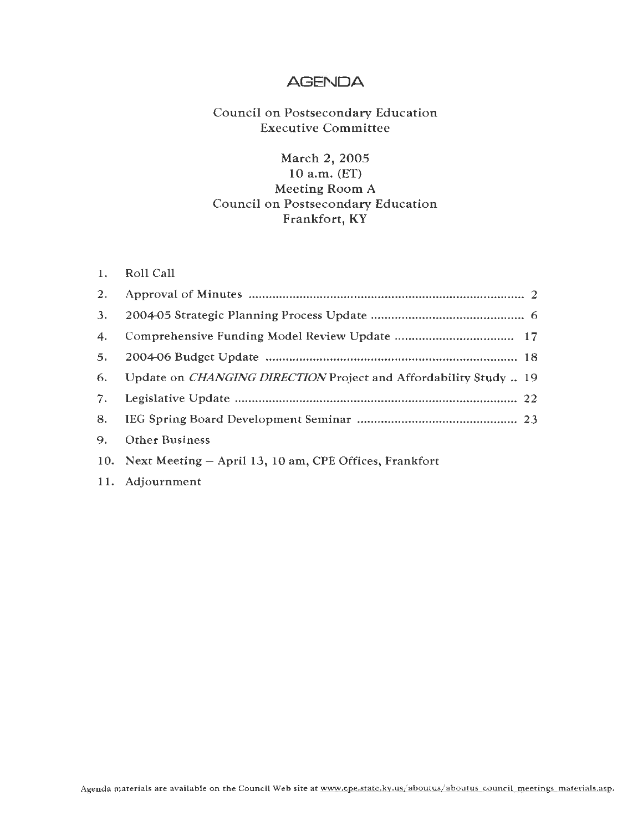### **AGENDA**

### Council on Postsecondary Education Executive Committee

### March 2, 2005 10 a.m. (ET) Meeting Room A Council on Postsecondary Education Frankfort, KY

| 1. | Roll Call |  |  |
|----|-----------|--|--|
|----|-----------|--|--|

| 2.                 |                                                                         |
|--------------------|-------------------------------------------------------------------------|
| 3.                 |                                                                         |
| $\boldsymbol{4}$ . |                                                                         |
| 5.                 |                                                                         |
| 6.                 | Update on <i>CHANGING DIRECTION</i> Project and Affordability Study  19 |
| 7.                 |                                                                         |
| 8.                 |                                                                         |
| 9.                 | <b>Other Business</b>                                                   |
|                    | 10. Next Meeting - April 13, 10 am, CPE Offices, Frankfort              |
|                    | 11. Adjournment                                                         |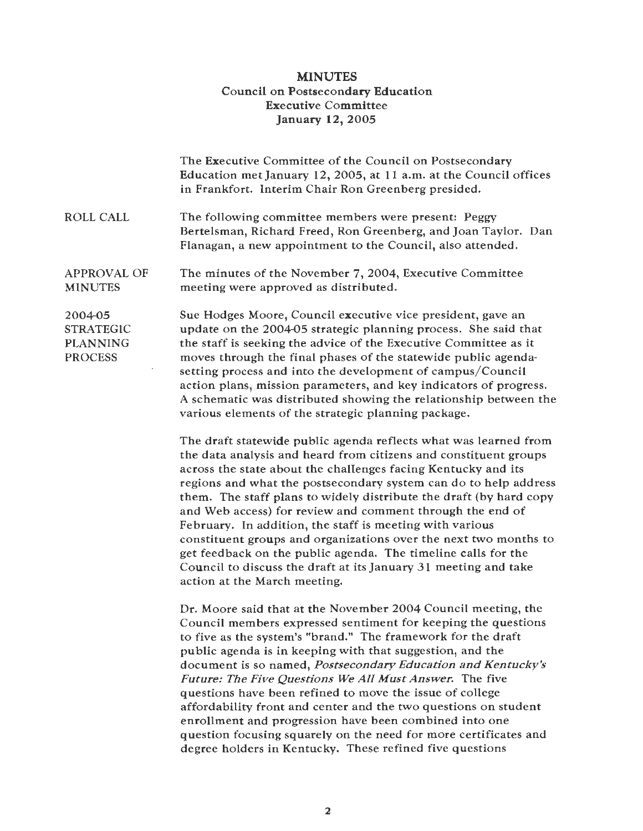#### **MINUTES**  Council on Postsecondary Education **Executive** Committee **January 12, 2005**

|                                                                  | The Executive Committee of the Council on Postsecondary<br>Education met January 12, 2005, at 11 a.m. at the Council offices<br>in Frankfort. Interim Chair Ron Greenberg presided.                                                                                                                                                                                                                                                                                                                                                |
|------------------------------------------------------------------|------------------------------------------------------------------------------------------------------------------------------------------------------------------------------------------------------------------------------------------------------------------------------------------------------------------------------------------------------------------------------------------------------------------------------------------------------------------------------------------------------------------------------------|
| <b>ROLL CALL</b>                                                 | The following committee members were present: Peggy<br>Bertelsman, Richard Freed, Ron Greenberg, and Joan Taylor. Dan<br>Flanagan, a new appointment to the Council, also attended.                                                                                                                                                                                                                                                                                                                                                |
| <b>APPROVAL OF</b><br><b>MINUTES</b>                             | The minutes of the November 7, 2004, Executive Committee<br>meeting were approved as distributed.                                                                                                                                                                                                                                                                                                                                                                                                                                  |
| 2004-05<br><b>STRATEGIC</b><br><b>PLANNING</b><br><b>PROCESS</b> | Sue Hodges Moore, Council executive vice president, gave an<br>update on the 2004-05 strategic planning process. She said that<br>the staff is seeking the advice of the Executive Committee as it<br>moves through the final phases of the statewide public agenda-<br>setting process and into the development of campus/Council<br>action plans, mission parameters, and key indicators of progress.<br>A schematic was distributed showing the relationship between the<br>various elements of the strategic planning package. |
|                                                                  | The draft statewide public agenda reflects what was learned from<br>the data analysis and heard from citizens and constituent groups<br>across the state about the challenges facing Kentucky and its<br>regions and what the postsecondary system can do to help address<br>them. The staff plans to widely distribute the draft (by hard copy<br>and Web access) for review and comment through the end of<br>February. In addition, the staff is meeting with various                                                           |

February. In addition, the staff is meeting with various constituent groups and organizations over the next two months to get feedback on the public agenda. The timeline calls for the Council to discuss the draft at its January 31 meeting and take action at the March meeting.

Dr. Moore said that at the November 2004 Council meeting, the Council members expressed sentiment for keeping the questions to five as the system's "brand." The framework for the draft public agenda is in keeping with that suggestion, and the document is so named, *Postsecondary Education and Kentucky's Future: The Five Questions We All Must Answer.* The five questions have been refined to move the issue of college affordability front and center and the two questions on student enrollment and progression have been combined into one question focusing squarely on the need for more certificates and degree holders in Kentucky. These refined five questions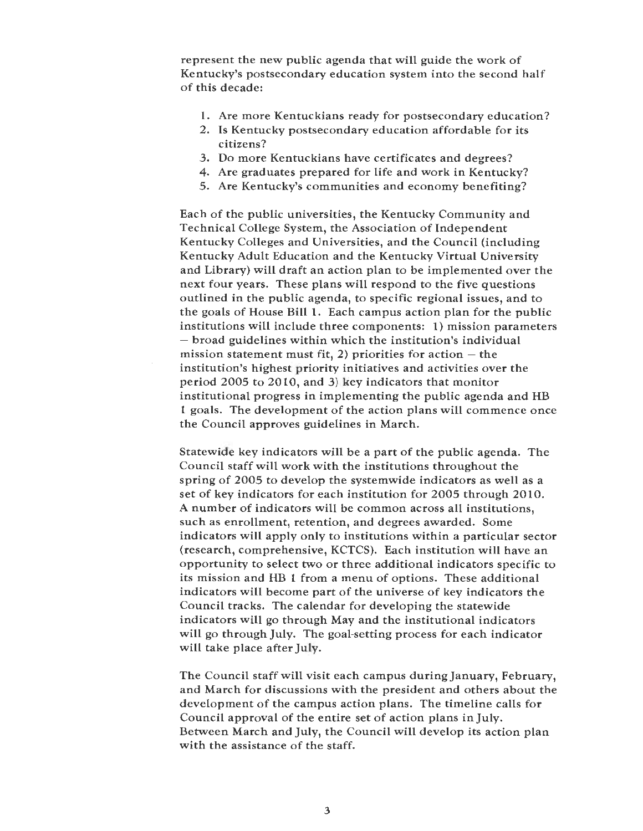represent the new public agenda that will guide the work of Kentucky's postsecondary education system into the second half of this decade:

- 1. Are more Kentuckians ready for postsecondary education?
- 2. Is Kentucky postsecondary education affordable for its citizens?
- 3. Do more Kentuckians have certificates and degrees?
- 4. Are graduates prepared for life and work in Kentucky?
- 5. Are Kentucky's communities and economy benefiting?

Each of the public universities, the Kentucky Community and Technical College System, the Association of Independent Kentucky Colleges and Universities, and the Council (including Kentucky Adult Education and the Kentucky Virtual University and Library) will draft an action plan to be implemented over the next four years. These plans will respond to the five questions outlined in the public agenda, to specific regional issues, and to the goals of House Bill 1. Each campus action plan for the public institutions will include three components: 1) mission parameters - broad guidelines within which the institution's individual mission statement must fit, 2) priorities for action  $-$  the institution's highest priority initiatives and activities over the period 2005 to 2010, and 3) key indicators that monitor institutional progress in implementing the public agenda and HB 1 goals. The development of the action plans will commence once the Council approves guidelines in March.

Statewide key indicators will be a part of the public agenda. The Council staff will work with the institutions throughout the spring of 2005 to develop the systemwide indicators as well as a set of key indicators for each institution for 2005 through 2010. A number of indicators will be common across all institutions, such as enrollment, retention, and degrees awarded. Some indicators will apply only to institutions within a particular sector (research, comprehensive, KCTCS). Each institution will have an opportunity to select two or three additional indicators specific to its mission and HB 1 from a menu of options. These additional indicators will become part of the universe of key indicators the Council tracks. The calendar for developing the statewide indicators will go through May and the institutional indicators **will** go through July. The goal-setting process for each indicator will take place after July.

The Council staff will visit each campus during January, February, and March for discussions with the president and others about the development of the campus action plans. The timeline calls for Council approval of the entire set of action plans in July. Between March and July, the Council will develop its action plan with the assistance of the staff.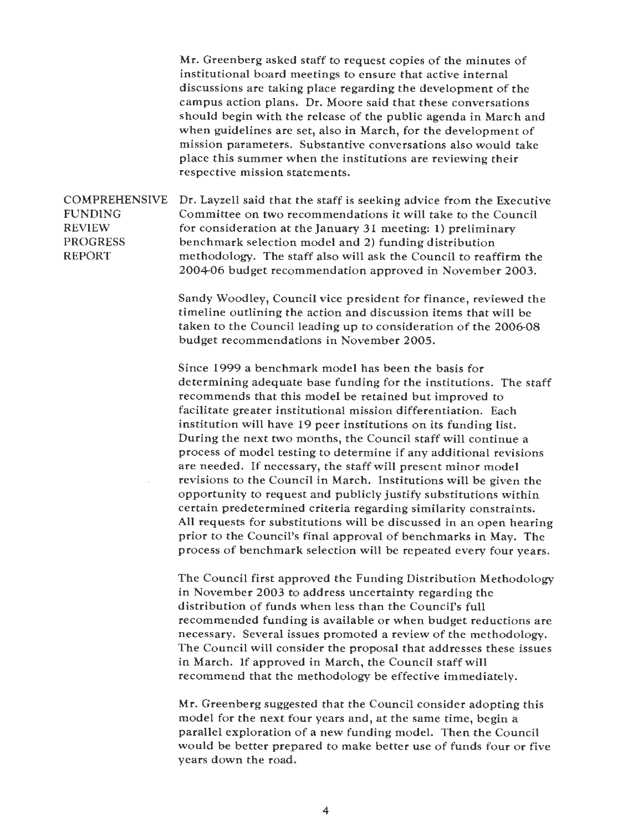Mr. Greenberg asked staff to request copies of the minutes of institutional board meetings to ensure that active internal discussions are taking place regarding the development of the campus action plans. Dr. Moore said that these conversations should begin with the release of the public agenda in March and when guidelines are set, also in March, for the development of mission parameters. Substantive conversations also would take place this summer when the institutions are reviewing their respective mission statements.

COMPREHENSIVE FUNDING REVIEW PROGRESS REPORT Dr. Layzell said that the staff is seeking advice from the Executive Committee on two recommendations it will take to the Council for consideration at the January 31 meeting: 1) preliminary benchmark selection model and 2) funding distribution methodology. The staff also will ask the Council to reaffirm the 2004-06 budget recommendation approved in November 2003.

> Sandy Woodley, Council vice president for finance, reviewed the timeline outlining the action and discussion items that will be taken to the Council leading up to consideration of the 2006-08 budget recommendations in November 2005.

Since 1999 a benchmark model has been the basis for determining adequate base funding for the institutions. The staff recommends that this model be retained but improved to facilitate greater institutional mission differentiation. Each institution will have 19 peer institutions on its funding list. During the next two months, the Council staff will continue a process of model testing to determine if any additional revisions are needed. If necessary, the staff will present minor model revisions to the Council in March. Institutions will be given the opportunity to request and publicly justify substitutions within certain predetermined criteria regarding similarity constraints. All requests for substitutions will be discussed in an open hearing prior to the Council's final approval of benchmarks in May. The process of benchmark selection will be repeated every four years.

The Council first approved the Funding Distribution Methodology in November 2003 to address uncertainty regarding the distribution of funds when less than the Council's full recommended funding is available or when budget reductions are necessary. Several issues promoted a review of the methodology. The Council will consider the proposal that addresses these issues in March. If approved in March, the Council staff will recommend that the methodology be effective immediately.

Mr. Greenberg suggested that the Council consider adopting this model for the next four years and, at the same time, begin a parallel exploration of a new funding model. Then the Council would be better prepared to make better use of funds four or five years down the road.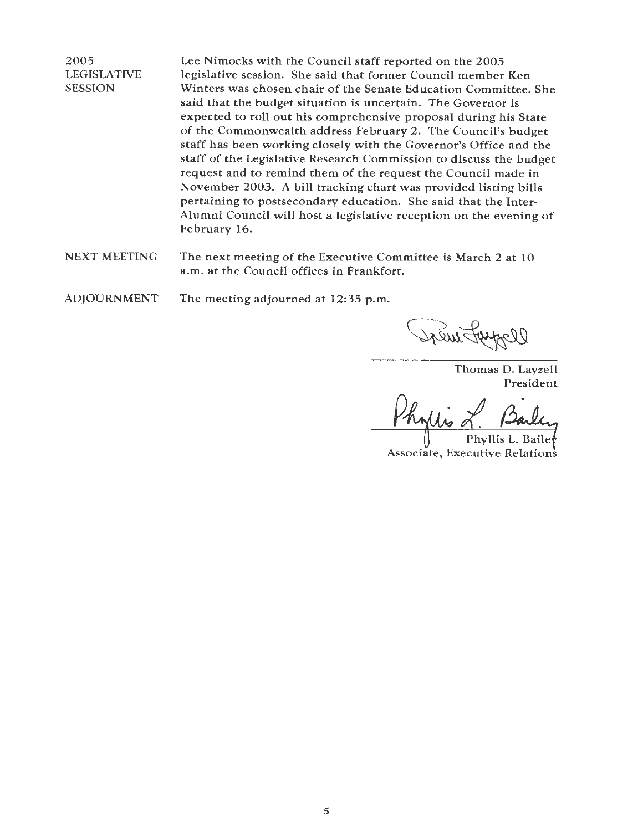2005 LEGISLATIVE SESSION

Lee Nimocks with the Council staff reported on the 2005 legislative session. She said that former Council member Ken Winters was chosen chair of the Senate Education Committee. She said that the budget situation is uncertain. The Governor is expected to roll out his comprehensive proposal during his State of the Commonwealth address February 2. The Council's budget staff has been working closely with the Governor's Office and the staff of the Legislative Research Commission to discuss the budget request and to remind them of the request the Council made in November 2003. A bill tracking chart was provided listing bills pertaining to postsecondary education. She said that the Inter-Alumni Council will host a legislative reception on the evening of February 16.

- NEXT MEETING The next meeting of the Executive Committee is March 2 at 10 a.m. at the Council offices in Frankfort.
- ADJOURNMENT The meeting adjourned at 12:35 p.m.

Thomas D. Layzell President

Phyllis L. Bailey

Associate, Executive Relations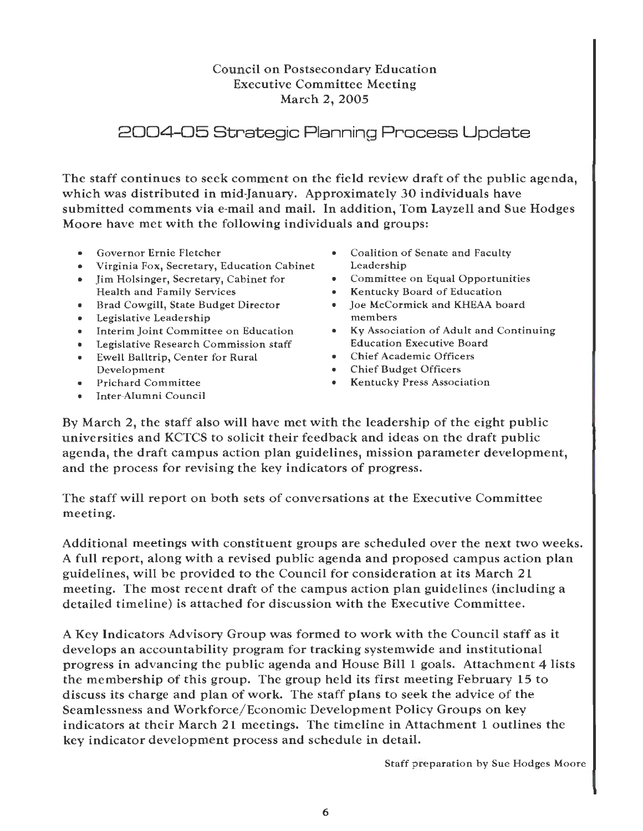### Council on Postsecondary Education Executive Committee Meeting March 2, 2005

# 2004-05 Strategic Planning Process Update

The staff continues to seek comment on the field review draft of the public agenda, which was distributed in mid-January. Approximately 30 individuals have submitted comments via e-mail and mail. In addition, Tom Layzell and Sue Hodges Moore have met with the following individuals and groups:

- 
- Virginia Fox, Secretary, Education Cabinet Leadership<br>
lim Holsinger, Secretary, Cabinet for Committee on Equal Opportunities
- Jim Holsinger, Secretary, Cabinet for Committee on Equal Opportunities
- Brad Cowgill, State Budget Director Joe McCo<br>• Legislative Leadership · members
- 
- Legislative Leadership<br>• Interim Joint Committee on Education
- Legislative Research Commission staff Education Executive Board
- Ewell Balltrip, Center for Rural<br>Development Development • Chief Budget Officers
- 
- Inter-Alumni Council
- Governor Ernie Fletcher Coalition of Senate and Faculty<br>Virginia Fox, Secretary, Education Cabinet Leadership
	-
	-
	- Kentucky Board of Education<br>Joe McCormick and KHEAA board
- Interim Joint Committee on Education Ky Association of Adult and Continuing<br>• Legislative Research Commission staff **Education Executive Board** 
	-
	-
- Prichard Committee The Sentucky Press Association

By March 2, the staff also will have met with the leadership of the eight public universities and KCTCS to solicit their feedback and ideas on the draft public agenda, the draft campus action plan guidelines, mission parameter development, and the process for revising the key indicators of progress.

The staff will report on both sets of conversations at the Executive Committee meeting.

Additional meetings with constituent groups are scheduled over the next two weeks. A full report, along with a revised public agenda and proposed campus action plan guidelines, will be provided to the Council for consideration at its March 21 meeting. The most recent draft of the campus action plan guidelines (including a detailed timeline) is attached for discussion with the Executive Committee.

A Key Indicators Advisory Group was formed to work with the Council staff as it develops an accountability program for tracking systemwide and institutional progress in advancing the public agenda and House Bill 1 goals. Attachment 4 lists the membership of this group. The group held its first meeting February 15 to discuss its charge and plan of work. The staff plans to seek the advice of the Seamlessness and Workforce/Economic Development Policy Groups on key indicators at their March 21 meetings. The timeline in Attachment 1 outlines the key indicator development process and schedule in detail.

Staff preparation by Sue Hodges Moore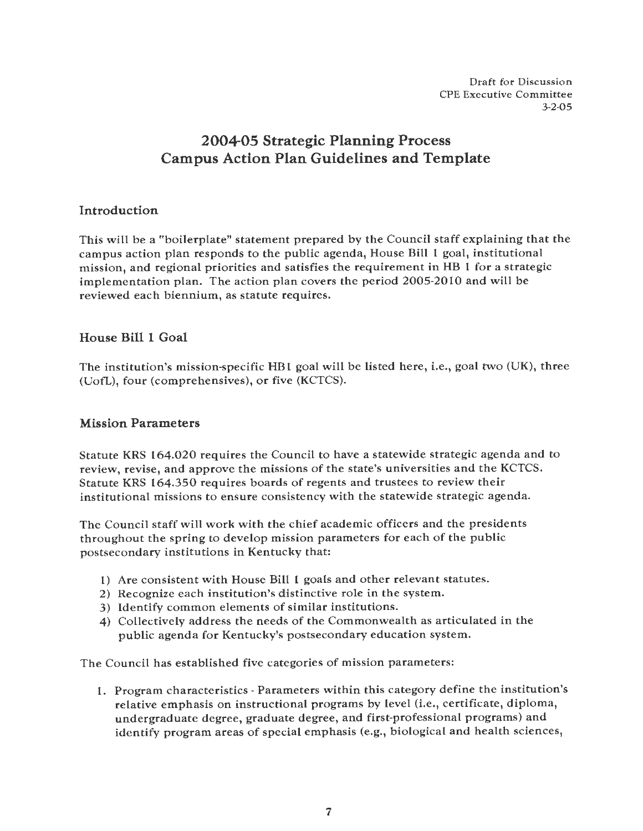Draft for Discussion CPE Executive Committee 3-2-05

# **2004-05 Strategic Planning Process Campus Action Plan Guidelines and Template**

### **Introduction**

This will be a "boilerplate" statement prepared by the Council staff explaining that the campus action plan responds to the public agenda, House Bill l goal, institutional mission, and regional priorities and satisfies the requirement in HB l for a strategic implementation plan. The action plan covers the period 2005-2010 and will be reviewed each biennium, as statute requires.

### **House Bill 1 Goal**

The institution's mission-specific HB1 goal will be listed here, i.e., goal two (UK), three (UofL), four (comprehensives), or five (KCTCS).

#### **Mission Parameters**

Statute KRS 164.020 requires the Council to have a statewide strategic agenda and to review, revise, and approve the missions of the state's universities and the KCTCS. Statute KRS 164.350 requires boards of regents and trustees to review their institutional missions to ensure consistency with the statewide strategic agenda.

The Council staff will work with the chief academic officers and the presidents throughout the spring to develop mission parameters for each of the public postsecondary institutions in Kentucky that:

- **l)** Are consistent with House Bill **l** goals and other relevant statutes.
- 2) Recognize each institution's distinctive role in the system.
- 3) Identify common elements of similar institutions.
- 4) Collectively address the needs of the Commonwealth as articulated in the public agenda for Kentucky's postsecondary education system.

The Council has established five categories of mission parameters:

I. Program characteristics - Parameters within this category define the institution's relative emphasis on instructional programs by level (i.e., certificate, diploma, undergraduate degree, graduate degree, and first-professional programs) and identify program areas of special emphasis (e.g., biological and health sciences,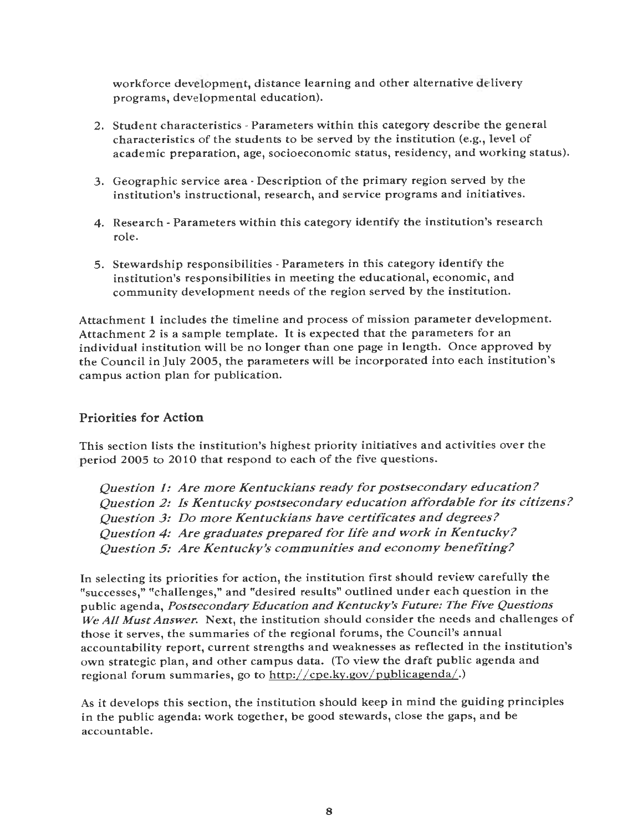workforce development, distance learning and other alternative delivery programs, developmental education).

- 2. Student characteristics· Parameters within this category describe the general characteristics of the students to be served by the institution (e.g., level of academic preparation, age, socioeconomic status, residency, and working status).
- 3. Geographic service area· Description of the primary region served by the institution's instructional, research, and service programs and initiatives.
- 4. Research· Parameters within this category identify the institution's research role.
- 5. Stewardship responsibilities Parameters in this category identify the institution's responsibilities in meeting the educational, economic, and community development needs of the region served by the institution.

Attachment **1** includes the timeline and process of mission parameter development. Attachment 2 is a sample template. It is expected that the parameters for an individual institution will be no longer than one page in length. Once approved by the Council in July 2005, the parameters will be incorporated into each institution's campus action plan for publication.

#### **Priorities for Action**

This section lists the institution's highest priority initiatives and activities over the period 2005 to 2010 that respond to each of the five questions.

*Question 1: Are more Kentuckians ready for postsecondary education? Question 2: ls Kentucky postsecondary education affordable for its citizens? Question 3: Do more Kentuckians have certificates and degrees? Question 4: Are graduates prepared for life and work in Kentucky? Question 5: Are Kentucky's communities and economy benefiting?* 

In selecting its priorities for action, the institution first should review carefully the •tsuccesses," •tchallenges," and ''desired results" outlined under each question in the public agenda, *Postsecondary Education and Kentucky's Future: The Five Questions We All Must Answer.* Next, the institution should consider the needs and challenges of those it serves, the summaries of the regional forums, the Council's annual accountability report, current strengths and weaknesses as reflected in the institution's own strategic plan, and other campus data. (To view the draft public agenda and regional forum summaries, go to http://cpe.ky.gov/publicagenda/.)

As it develops this section, the institution should keep in mind the guiding principles in the public agenda: work together, be good stewards, close the gaps, and be accountable.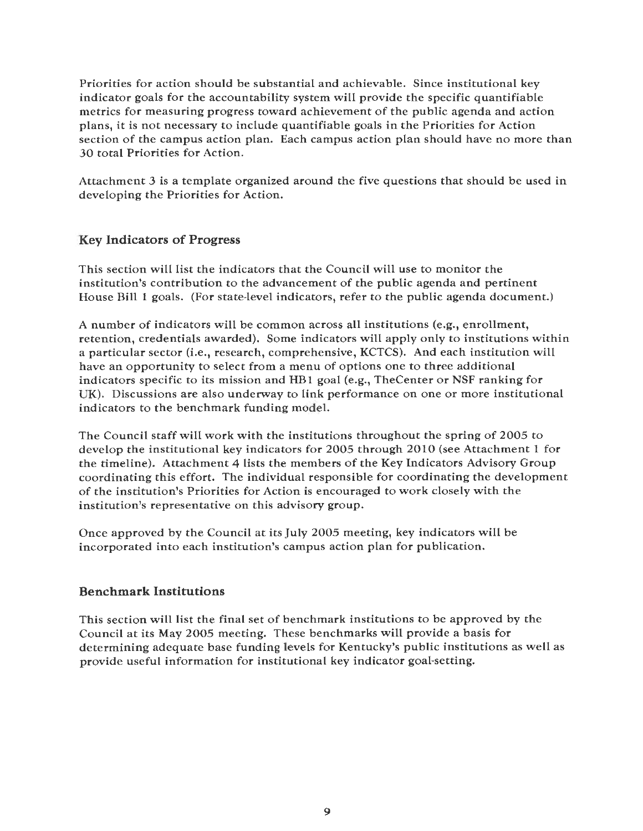Priorities for action should be substantial and achievable. Since institutional key indicator goals for the accountability system will provide the specific quantifiable metrics for measuring progress toward achievement of the public agenda and action plans, it is not necessary to include quantifiable goals in the Priorities for Action section of the campus action plan. Each campus action plan should have no more than 30 total Priorities for Action.

Attachment 3 is a template organized around the five questions that should be used in developing the Priorities for Action.

### **Key Indicators** of **Progress**

This section will list the indicators that the Council will use to monitor the institution's contribution to the advancement of the public agenda and pertinent House Bill 1 goals. (For state-level indicators, refer to the public agenda document.)

A number of indicators will be common across all institutions (e.g., enrollment, retention, credentials awarded). Some indicators will apply only to institutions within a particular sector (i.e., research, comprehensive, KCTCS). And each institution will have an opportunity to select from a menu of options one to three additional indicators specific to its mission and HB I goal (e.g., TheCenter or NSF ranking for UK). Discussions are also underway to link performance on one or more institutional indicators to the benchmark funding model.

The Council staff will work with the institutions throughout the spring of 2005 to develop the institutional key indicators for 2005 through 2010 (see Attachment 1 for the timeline). Attachment 4 lists the members of the Key Indicators Advisory Group coordinating this effort. The individual responsible for coordinating the development of the institution's Priorities for Action is encouraged to work closely with the institution's representative on this advisory group.

Once approved by the Council at its July 2005 meeting, key indicators will be incorporated into each institution's campus action plan for publication.

### Benchmark Institutions

This section will list the final set of benchmark institutions to be approved by the Council at its May 2005 meeting. These benchmarks will provide a basis for determining adequate base funding levels for Kentucky's public institutions as well as provide useful information for institutional key indicator goal-setting.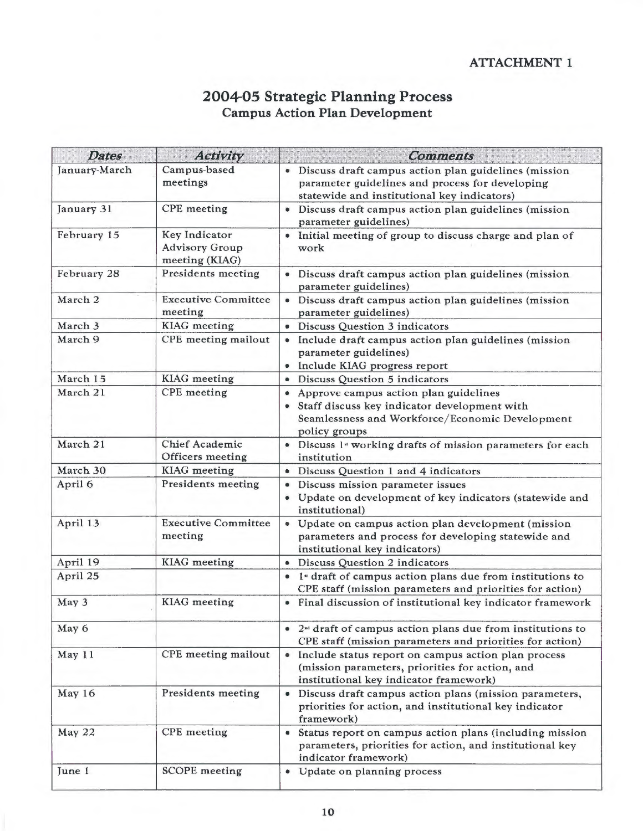### **2004-05 Strategic Planning Process Campus Action Plan Development**

| <b>Dates</b>  | <b>Activity</b>                                          | <b>Comments</b>                                                                                                                                             |
|---------------|----------------------------------------------------------|-------------------------------------------------------------------------------------------------------------------------------------------------------------|
| January-March | Campus-based<br>meetings                                 | • Discuss draft campus action plan guidelines (mission<br>parameter guidelines and process for developing<br>statewide and institutional key indicators)    |
| January 31    | <b>CPE</b> meeting                                       | · Discuss draft campus action plan guidelines (mission<br>parameter guidelines)                                                                             |
| February 15   | Key Indicator<br><b>Advisory Group</b><br>meeting (KIAG) | . Initial meeting of group to discuss charge and plan of<br>work                                                                                            |
| February 28   | <b>Presidents meeting</b>                                | · Discuss draft campus action plan guidelines (mission<br>parameter guidelines)                                                                             |
| March 2       | <b>Executive Committee</b><br>meeting                    | · Discuss draft campus action plan guidelines (mission<br>parameter guidelines)                                                                             |
| March 3       | <b>KIAG</b> meeting                                      | <b>Discuss Question 3 indicators</b>                                                                                                                        |
| March 9       | CPE meeting mailout                                      | · Include draft campus action plan guidelines (mission<br>parameter guidelines)<br>• Include KIAG progress report                                           |
| March 15      | <b>KIAG</b> meeting                                      | • Discuss Question 5 indicators                                                                                                                             |
| March 21      | <b>CPE</b> meeting                                       | • Approve campus action plan guidelines<br>Staff discuss key indicator development with<br>Seamlessness and Workforce/Economic Development<br>policy groups |
| March 21      | <b>Chief Academic</b><br>Officers meeting                | • Discuss 1 <sup>*</sup> working drafts of mission parameters for each<br>institution                                                                       |
| March 30      | <b>KIAG</b> meeting                                      | • Discuss Question 1 and 4 indicators                                                                                                                       |
| April 6       | <b>Presidents meeting</b>                                | · Discuss mission parameter issues<br>• Update on development of key indicators (statewide and<br>institutional)                                            |
| April 13      | <b>Executive Committee</b><br>meeting                    | • Update on campus action plan development (mission<br>parameters and process for developing statewide and<br>institutional key indicators)                 |
| April 19      | <b>KIAG</b> meeting                                      | • Discuss Question 2 indicators                                                                                                                             |
| April 25      |                                                          | • 1 <sup>ª</sup> draft of campus action plans due from institutions to<br>CPE staff (mission parameters and priorities for action)                          |
| May 3         | <b>KIAG</b> meeting                                      | • Final discussion of institutional key indicator framework                                                                                                 |
| May 6         |                                                          | $\bullet$ 2 <sup>nd</sup> draft of campus action plans due from institutions to<br>CPE staff (mission parameters and priorities for action)                 |
| May 11        | CPE meeting mailout                                      | • Include status report on campus action plan process<br>(mission parameters, priorities for action, and<br>institutional key indicator framework)          |
| May 16        | Presidents meeting                                       | Discuss draft campus action plans (mission parameters,<br>$\bullet$<br>priorities for action, and institutional key indicator<br>framework)                 |
| May 22        | <b>CPE</b> meeting                                       | Status report on campus action plans (including mission<br>۰<br>parameters, priorities for action, and institutional key<br>indicator framework)            |
| June 1        | <b>SCOPE</b> meeting                                     | • Update on planning process                                                                                                                                |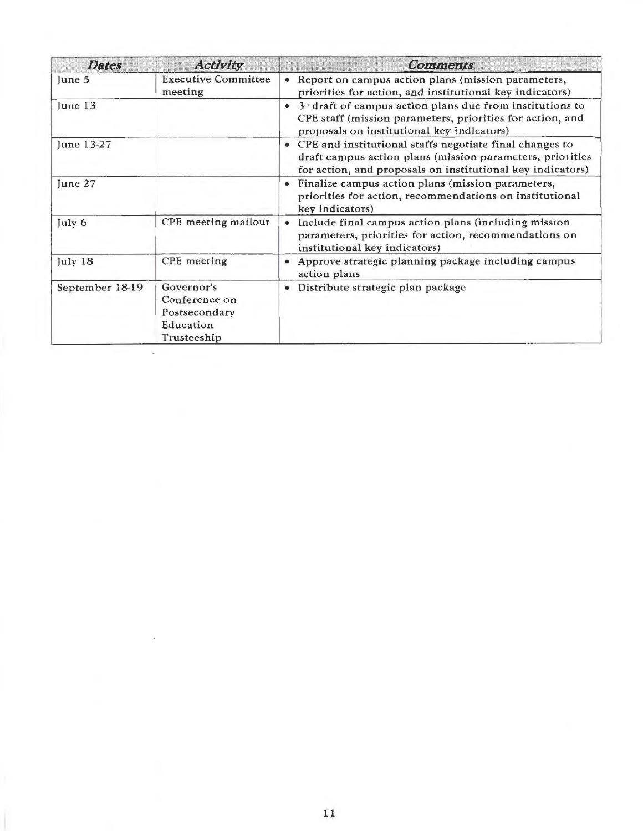| <b>Dates</b>    | <b>Activity</b>                                                          | <b>Comments</b>                                                                                                                                                                      |
|-----------------|--------------------------------------------------------------------------|--------------------------------------------------------------------------------------------------------------------------------------------------------------------------------------|
| June 5          | <b>Executive Committee</b><br>meeting                                    | Report on campus action plans (mission parameters,<br>۰<br>priorities for action, and institutional key indicators)                                                                  |
| June 13         |                                                                          | $3u$ draft of campus action plans due from institutions to<br>CPE staff (mission parameters, priorities for action, and<br>proposals on institutional key indicators)                |
| June 13-27      |                                                                          | • CPE and institutional staffs negotiate final changes to<br>draft campus action plans (mission parameters, priorities<br>for action, and proposals on institutional key indicators) |
| June 27         |                                                                          | Finalize campus action plans (mission parameters,<br>priorities for action, recommendations on institutional<br>key indicators)                                                      |
| July 6          | CPE meeting mailout                                                      | Include final campus action plans (including mission<br>$\bullet$<br>parameters, priorities for action, recommendations on<br>institutional key indicators)                          |
| July 18         | <b>CPE</b> meeting                                                       | Approve strategic planning package including campus<br>action plans                                                                                                                  |
| September 18-19 | Governor's<br>Conference on<br>Postsecondary<br>Education<br>Trusteeship | Distribute strategic plan package                                                                                                                                                    |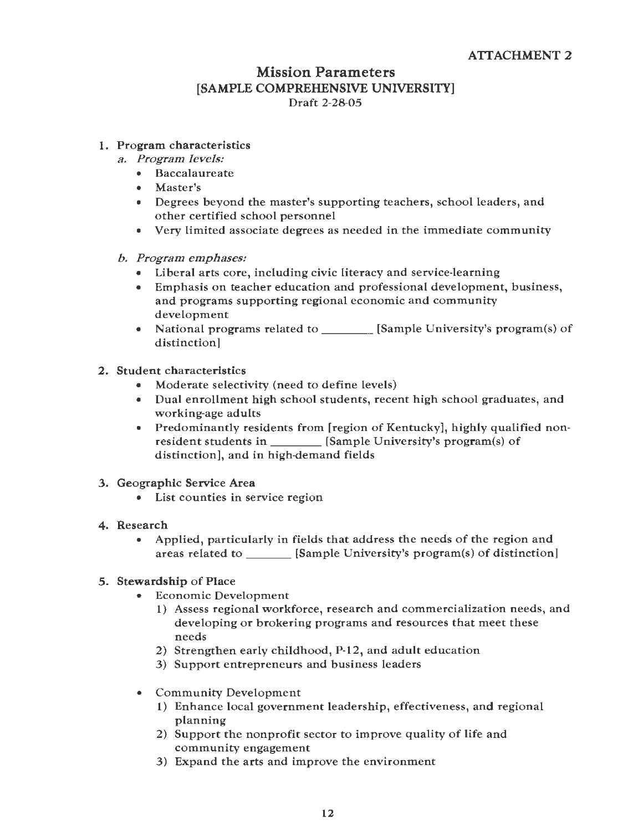### Mission Parameters [SAMPLE COMPREHENSIVE UNIVERSITY] Draft 2-28-05

#### 1. Program characteristics

- *a. Program levels:* 
	- Baccalaureate
	- Master's
	- Degrees beyond the master's supporting teachers, school leaders, and other certified school personnel
	- Very limited associate degrees as needed in the immediate community
- *b. Program emphases:* 
	- Liberal arts core, including civic literacy and service-learning
	- Emphasis on teacher education and professional development, business, and programs supporting regional economic and community development
	- National programs related to \_\_\_\_\_\_ [Sample University's program(s) of distinction]
- *2.* Student characteristics
	- Moderate selectivity (need to define levels)
	- Dual enrollment high school students, recent high school graduates, and working-age adults
	- Predominantly residents from [region of Kentucky], highly qualified nonresident students in \_\_\_\_\_\_\_ [Sample University's program(s) of distinction], and in high-demand fields
- 3. Geographic Service **Area** 
	- List counties in service region
- **4, Research** 
	- Applied, particularly in fields that address the needs of the region and areas related to **[Sample University's program(s)** of distinction]

#### 5. **Stewardship** of Place

- Economic Development
	- 1) Assess regional workforce, research and commercialization needs, and developing or brokering programs and resources that meet these needs
	- 2) Strengthen early childhood, P-12, and adult education
	- 3) Support entrepreneurs and business leaders
- Community Development
	- 1) Enhance local government leadership, effectiveness, and regional planning
	- 2) Support the nonprofit sector to improve quality of life and community engagement
	- 3) Expand the arts and improve the environment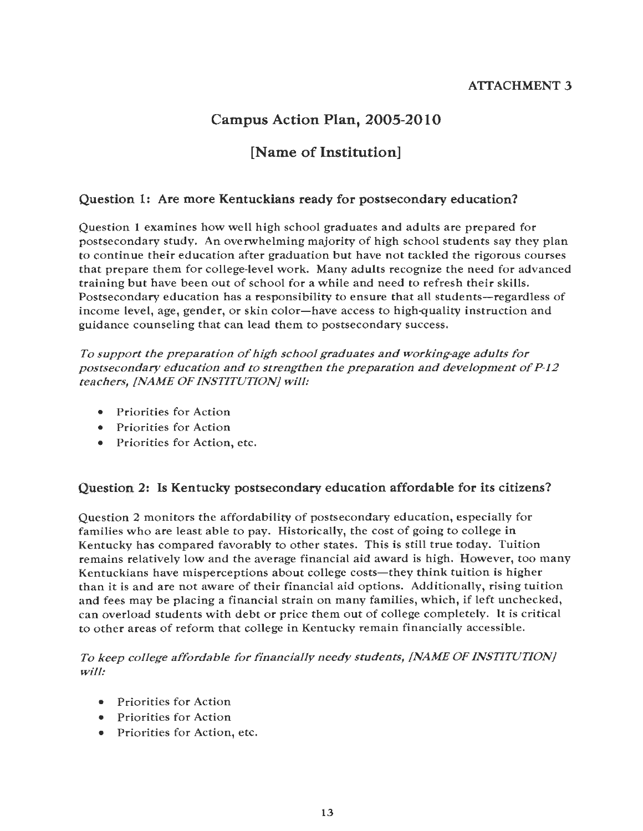### ATTACHMENT 3

# Campus Action Plan, 2005-2010

## [Name of Institution]

#### Question 1: Are more Kentuckians ready for postsecondary education?

Question 1 examines how well high school graduates and adults are prepared for postsecondary study. An overwhelming majority of high school students say they plan to continue their education after graduation but have not tackled the rigorous courses that prepare them for college-level work. Many adults recognize the need for advanced training but have been out of school for a while and need to refresh their skills. Postsecondary education has a responsibility to ensure that all students—regardless of income level, age, gender, or skin color-have access to high-quality instruction and guidance counseling that can lead them to postsecondary success.

*To support the preparation of high school graduates and working-age adults for postsecondary education and to strengthen the preparation and development of P-12 teachers, [NAME OF INSTITUTION} will:* 

- Priorities for Action
- Priorities for Action
- Priorities for Action, etc.

#### Question 2: ls Kentucky postsecondary education affordable for its citizens?

Question 2 monitors the affordability of postsecondary education, especially for families who are least able to pay. Historically, the cost of going to college in Kentucky has compared favorably to other states. This is still true today. Tuition remains relatively low and the average financial aid award is high. However, too many Kentuckians have misperceptions about college costs—they think tuition is higher than it is and are not aware of their financial aid options. Additionally, rising tuition and fees may be placing a financial strain on many families, which, if left unchecked, can overload students with debt or price them out of college completely. It is critical to other areas of reform that college in Kentucky remain financially accessible.

#### *To keep college affordable for financially needy students, [NAME OF INSTITUTION} will:*

- Priorities for Action
- Priorities for Action
- Priorities for Action, etc.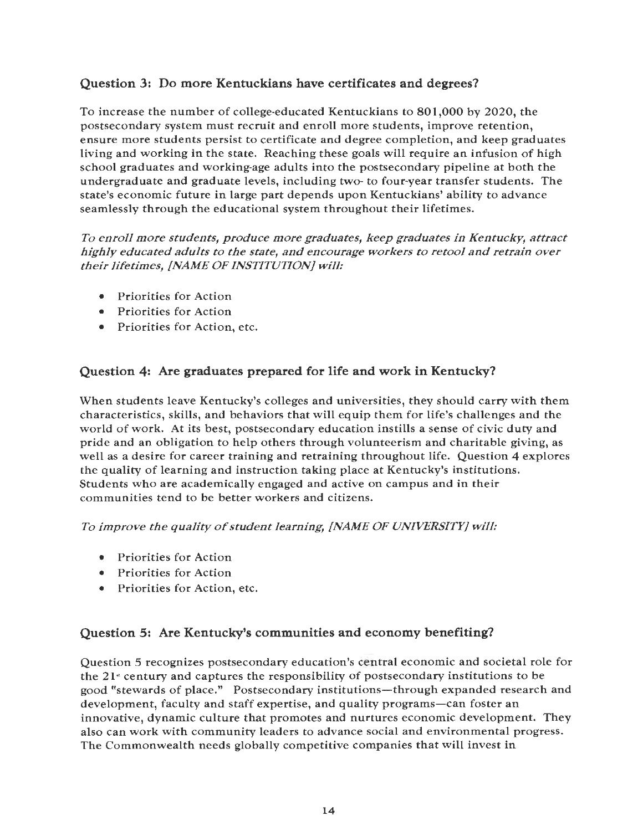### **Question 3: Do more Kentuckians have certificates and degrees?**

To increase the number of college-educated Kentuckians to 801,000 by 2020, the postsecondary system must recruit and enroll more students, improve retention, ensure more students persist to certificate and degree completion, and keep graduates living and working in the state. Reaching these goals will require an infusion of high school graduates and working-age adults into the postsecondary pipeline at both the undergraduate and graduate levels, including two- to four-year transfer students. The state's economic future in large part depends upon Kentuckians' ability to advance seamlessly through the educational system throughout their lifetimes.

*To enroll more students, produce more graduates, keep graduates in Kentucky, attract highly educated adults to the state, and encourage workers to retool and retrain over their lifetimes, [NAME OF INSTITUTION} will:* 

- Priorities for Action
- Priorities for Action
- Priorities for Action, etc.

### **Question 4: Are graduates prepared for life and work in Kentucky?**

When students leave Kentucky's colleges and universities, they should carry with them characteristics, skills, and behaviors that will equip them for life's challenges and the world of work. At its best, postsecondary education instills a sense of civic duty and pride and an obligation to help others through volunteerism and charitable giving, as well as a desire for career training and retraining throughout life. Question 4 explores the quality of learning and instruction taking place at Kentucky's institutions. Students who are academically engaged and active on campus and in their communities tend to be better workers and citizens.

*To improve the quality of student learning, [NAME OF UNIVERSITY} will:* 

- Priorities for Action
- Priorities for Action
- Priorities for Action, etc.

### **Question 5: Are Kentucky's communities and economy benefiting?**

Question 5 recognizes postsecondary education's central economic and societal role for the 21" century and captures the responsibility of postsecondary institutions to be good "stewards of place." Postsecondary institutions—through expanded research and development, faculty and staff expertise, and quality programs-can foster an innovative, dynamic culture that promotes and nurtures economic development. They also can work with community leaders to advance social and environmental progress. The Commonwealth needs globally competitive companies that will invest in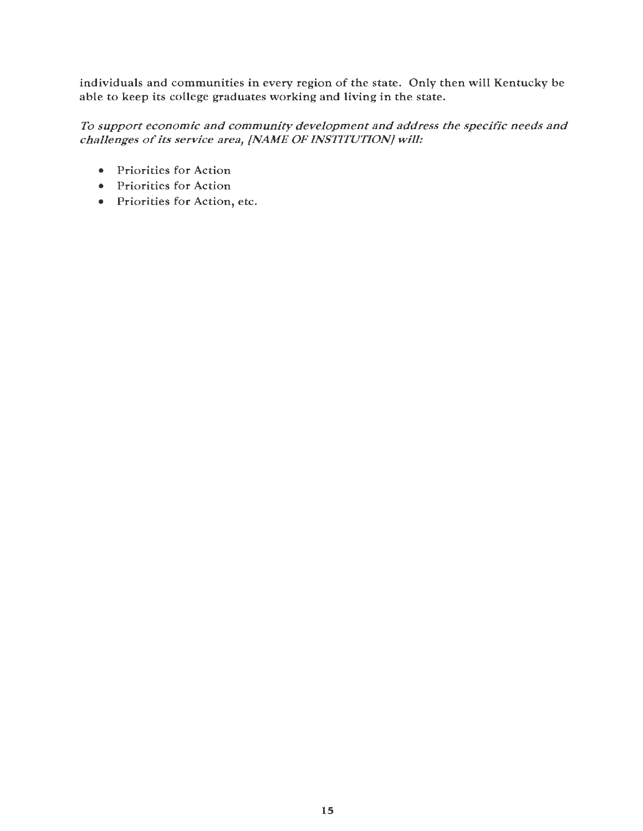individuals and communities in every region of the state. Only then will Kentucky be able to keep its college graduates working and living in the state.

#### *To support economic and community development and address the specific needs and challenges of its service area, [NAME OF INSTITUTION} will:*

- Priorities for Action
- Priorities for Action
- Priorities for Action, etc.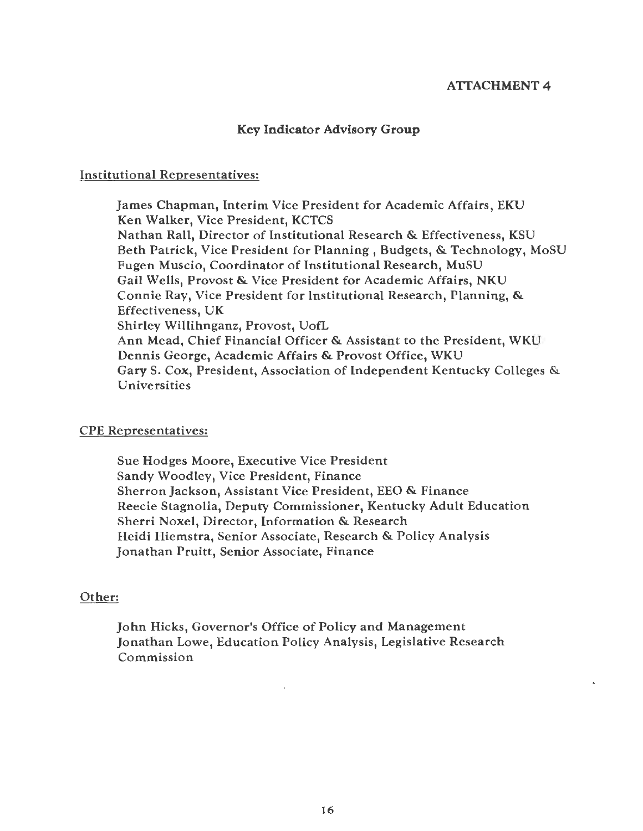#### **ATTACHMENT 4**

#### Key Indicator Advisory Group

#### Institutional Representatives:

James Chapman, Interim Vice President for Academic Affairs, EKU Ken Walker, Vice President, KCTCS Nathan Rall, Director of Institutional Research & Effectiveness, KSU Beth Patrick, Vice President for Planning, Budgets, & Technology, MoSU Fugen Muscio, Coordinator of Institutional Research, MuSU Gail Wells, Provost & Vice President for Academic Affairs, NKU Connie Ray, Vice President for Institutional Research, Planning, & Effectiveness, UK Shirley Willihnganz, Provost, UofL Ann Mead, Chief Financial Officer & Assistant to the President, WKU Dennis George, Academic Affairs & Provost Office, WKU Gary S. Cox, President, Association of Independent Kentucky Colleges & Universities

#### CPE Representatives:

Sue Hodges Moore, Executive Vice President Sandy Woodley, Vice President, Finance Sherron Jackson, Assistant Vice President, EEO & Finance Reecie Stagnolia, Deputy Commissioner, Kentucky Adult Education Sherri Noxel, Director, Information & Research Heidi Hiemstra, Senior Associate, Research & Policy Analysis Jonathan Pruitt, Senior Associate, Finance

#### Other:

John Hicks, Governor's Office of Policy and Management Jonathan Lowe, Education Policy Analysis, Legislative Research Commission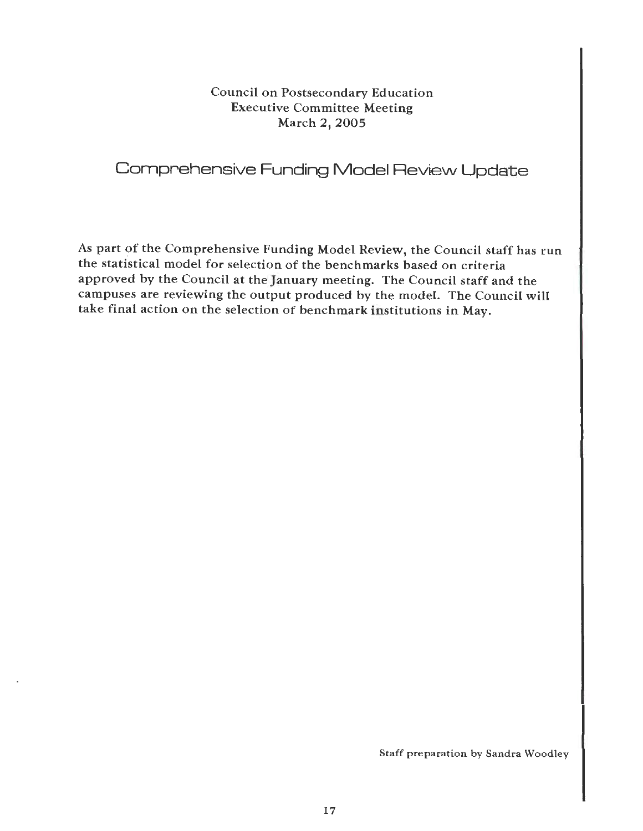### Council on Postsecondary Education Executive Committee Meeting March 2, 2005

# Comprehensive Funding Model Review Update

As part of the Comprehensive Funding Model Review, the Council staff has run the statistical model for selection of the benchmarks based on criteria approved by the Council at the January meeting. The Council staff and the campuses are reviewing the output produced by the model. The Council will take final action on the selection of benchmark institutions in May.

Staff preparation by Sandra Woodley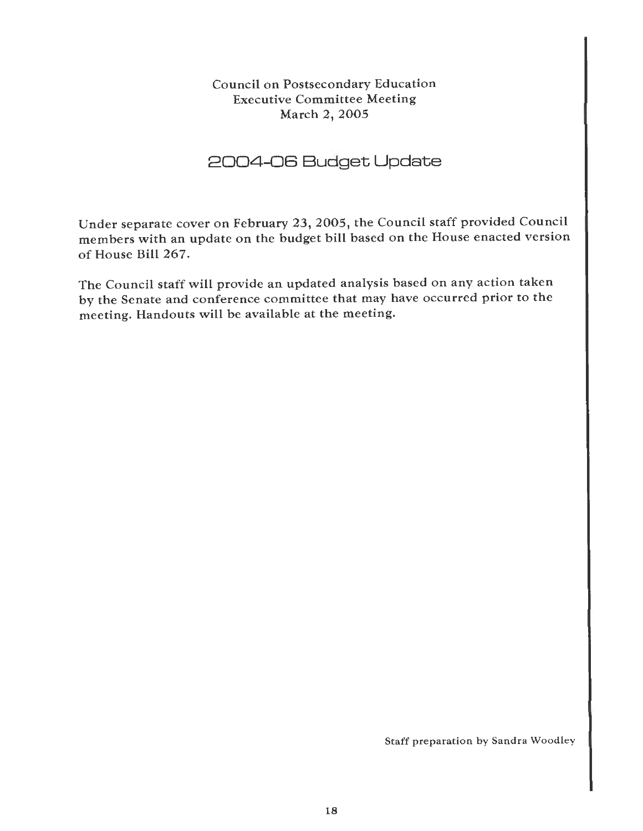Council on Postsecondary Education Executive Committee Meeting March 2, 2005

# 2004-06 Budget Update

Under separate cover on February 23, 2005, the Council staff provided Council members with an update on the budget bill based on the House enacted version of House Bill 267.

The Council staff will provide an updated analysis based on any action taken by the Senate and conference committee that may have occurred prior to the meeting. Handouts will be available at the meeting.

Staff preparation by Sandra Woodley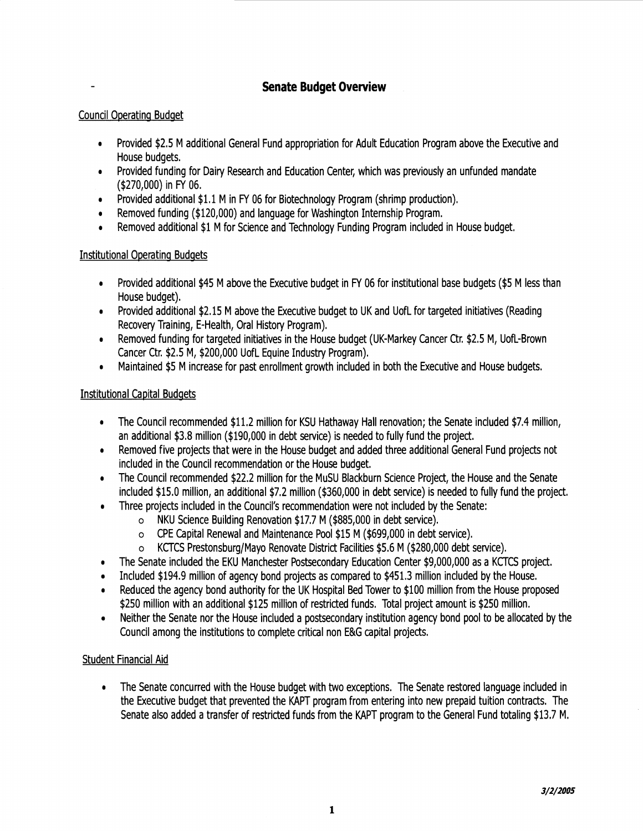### **Senate Budget Overview**

#### Council Operating Budget

- , Provided \$2.5 M additional General Fund appropriation for Adult Education Program above the Executive and House budgets.
- Provided funding for Dairy Research and Education Center, which was previously an unfunded mandate (\$270,000) in FY 06.
- , Provided additional \$1.1 M in FY 06 for Biotechnology Program (shrimp production).
- Removed funding (\$120,000) and language for Washington Internship Program.
- , Removed additional \$1 M for Science and Technology Funding Program included in House budget.

#### Institutional Operating Budgets

- Provided additional \$45 M above the Executive budget in FY 06 for institutional base budgets (\$5 M less than House budget).
- Provided additional \$2.15 M above the Executive budget to UK and Uofl for targeted initiatives (Reading Recovery Training, E-Health, Oral History Program).
- Removed funding for targeted initiatives in the House budget (UK-Markey Cancer Ctr. \$2.5 M, Uofl-Brown Cancer Ctr. \$2.5 M, \$200,000 Uofl Equine Industry Program).
- Maintained \$5 M increase for past enrollment growth included in both the Executive and House budgets.

#### Institutional Capital Budgets

- , The Council recommended \$11.2 million for KSU Hathaway Hall renovation; the Senate included \$7.4 million, an additional \$3.8 million (\$190,000 in debt service) is needed to fully fund the project.
- , Removed five projects that were in the House budget and added three additional General Fund projects not included in the Council recommendation or the House budget.
- The Council recommended \$22.2 million for the MuSU Blackburn Science Project, the House and the Senate included \$15.0 million, an additional \$7.2 million (\$360,000 in debt service) is needed to fully fund the project.
- , Three projects included in the Council's recommendation were not included by the Senate:
	- o NKU Science Building Renovation \$17.7 M (\$885,000 in debt service).
	- o CPE Capital Renewal and Maintenance Pool \$15 M (\$699,000 in debt service).
	- o KCTCS Prestonsburg/Mayo Renovate District Facilities \$5.6 M (\$280,000 debt service).
- , The Senate included the EKU Manchester Postsecondary Education Center \$9,000,000 as a KCTCS project.
- Included \$194.9 million of agency bond projects as compared to \$451.3 million included by the House.
- Reduced the agency bond authority for the UK Hospital Bed Tower to \$100 million from the House proposed \$250 million with an additional \$125 million of restricted funds. Total project amount is \$250 million.
- Neither the Senate nor the House included a postsecondary institution agency bond pool to be allocated by the Council among the institutions to complete critical non E&G capital projects.

#### Student Financial Aid

• The Senate concurred with the House budget with two exceptions. The Senate restored language included in the Executive budget that prevented the KAPT program from entering into new prepaid tuition contracts. The Senate also added a transfer of restricted funds from the KAPT program to the General Fund totaling \$13.7 M.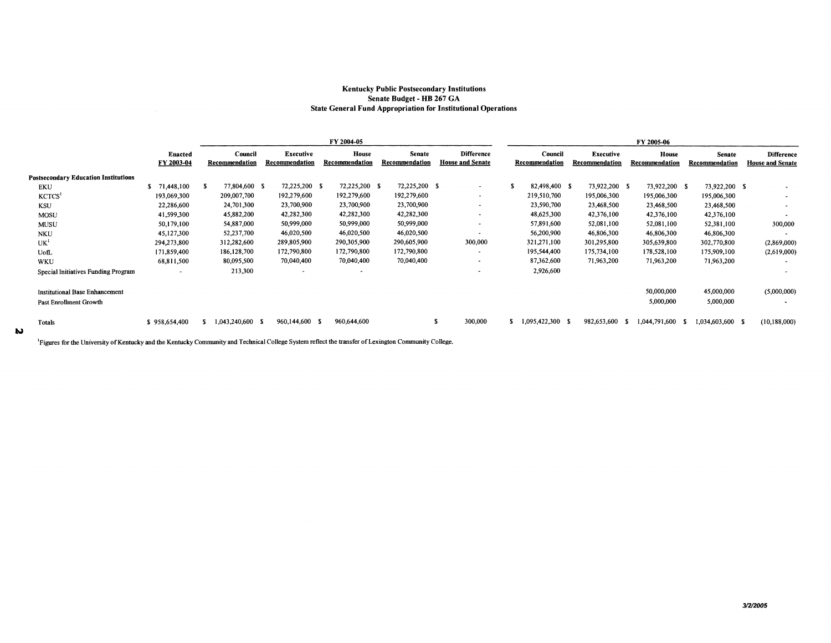#### **Kentucky Public Postsecondary Institutions Senate Budget** - **HB 267 GA State General Fund Appropriation for Institutional Operations**

|                                             |                       |                           |                                    | FY 2004-05              |                                 |                                              | FY 2005-06                |                             |                         |                                 |                                              |  |  |  |  |
|---------------------------------------------|-----------------------|---------------------------|------------------------------------|-------------------------|---------------------------------|----------------------------------------------|---------------------------|-----------------------------|-------------------------|---------------------------------|----------------------------------------------|--|--|--|--|
|                                             | Enacted<br>FY 2003-04 | Council<br>Recommendation | <b>Executive</b><br>Recommendation | House<br>Recommendation | <b>Senate</b><br>Recommendation | <b>Difference</b><br><b>House and Senate</b> | Council<br>Recommendation | Executive<br>Recommendation | House<br>Recommendation | <b>Senate</b><br>Recommendation | <b>Difference</b><br><b>House and Senate</b> |  |  |  |  |
| <b>Postsecondary Education Institutions</b> |                       |                           |                                    |                         |                                 |                                              |                           |                             |                         |                                 |                                              |  |  |  |  |
| <b>EKU</b>                                  | 71,448,100            | 77,804,600 \$             | 72,225,200 \$                      | 72,225,200 \$           | 72,225,200 \$                   |                                              | 82,498,400 \$             | 73,922,200 \$               | 73,922,200 \$           | 73,922,200 \$                   |                                              |  |  |  |  |
| KCTCS <sup>1</sup>                          | 193,069,300           | 209,007,700               | 192,279,600                        | 192,279,600             | 192,279,600                     |                                              | 219,510,700               | 195,006,300                 | 195,006,300             | 195,006,300                     |                                              |  |  |  |  |
| <b>KSU</b>                                  | 22,286,600            | 24,701,300                | 23,700,900                         | 23,700,900              | 23,700,900                      |                                              | 23,590,700                | 23,468,500                  | 23,468,500              | 23,468,500                      | $\sim$                                       |  |  |  |  |
| <b>MOSU</b>                                 | 41,599,300            | 45,882,200                | 42,282,300                         | 42,282,300              | 42,282,300                      |                                              | 48,625,300                | 42,376,100                  | 42,376,100              | 42,376,100                      |                                              |  |  |  |  |
| MUSU                                        | 50.179.100            | 54,887,000                | 50,999,000                         | 50,999,000              | 50,999,000                      |                                              | 57,891,600                | 52,081,100                  | 52,081,100              | 52,381,100                      | 300,000                                      |  |  |  |  |
| <b>NKU</b>                                  | 45,127,300            | 52,237,700                | 46,020,500                         | 46,020,500              | 46,020,500                      |                                              | 56,200,900                | 46,806,300                  | 46,806,300              | 46,806,300                      | $\tilde{\phantom{a}}$                        |  |  |  |  |
| UK <sup>1</sup>                             | 294,273,800           | 312,282,600               | 289,805,900                        | 290,305,900             | 290,605,900                     | 300,000                                      | 321,271,100               | 301,295,800                 | 305,639,800             | 302,770,800                     | (2,869,000)                                  |  |  |  |  |
| UofL                                        | 171,859,400           | 186, 128, 700             | 172,790,800                        | 172,790,800             | 172,790,800                     |                                              | 195,544,400               | 175,734,100                 | 178,528,100             | 175,909,100                     | (2,619,000)                                  |  |  |  |  |
| WKU                                         | 68,811,500            | 80,095,500                | 70,040,400                         | 70,040,400              | 70,040,400                      |                                              | 87,362,600                | 71,963,200                  | 71,963,200              | 71,963,200                      |                                              |  |  |  |  |
| Special Initiatives Funding Program         |                       | 213,300                   | $\overline{\phantom{a}}$           |                         |                                 |                                              | 2,926,600                 |                             |                         |                                 | $\cdot$                                      |  |  |  |  |
| <b>Institutional Base Enhancement</b>       |                       |                           |                                    |                         |                                 |                                              |                           |                             | 50,000,000              | 45,000,000                      | (5,000,000)                                  |  |  |  |  |
| Past Enrollment Growth                      |                       |                           |                                    |                         |                                 |                                              |                           |                             | 5,000,000               | 5,000,000                       |                                              |  |  |  |  |
| Totals                                      | \$958,654,400         | 1,043,240,600 \$          | 960,144,600 \$                     | 960,644,600             |                                 | 300,000                                      | 1,095,422,300<br>- 5      | 982,653,600                 | 1,044,791,600           | 1,034,603,600 \$<br>- 36        | (10, 188, 000)                               |  |  |  |  |

<sup>1</sup>Figures for the University of Kentucky and the Kentucky Community and Technical College System reflect the transfer of Lexington Community College.

IJ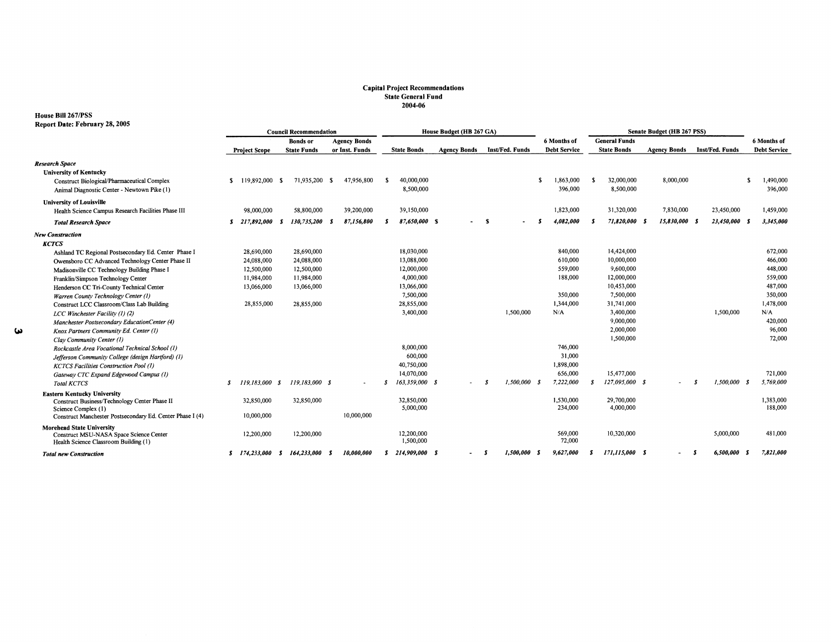# **Capital Project Recommendations State General Fund 2004-06**

### **House Bill 267/PSS Report Date: February 28, 2005**

| Report Date: Pentuary 20, 2005                                                                                       | <b>Council Recommendation</b>          |                         |                     |     | House Budget (HB 267 GA) |    |                                     |                     |     | Senate Budget (HB 267 PSS) |     |                      |    |                         |     |                     |  |                 |     |                     |
|----------------------------------------------------------------------------------------------------------------------|----------------------------------------|-------------------------|---------------------|-----|--------------------------|----|-------------------------------------|---------------------|-----|----------------------------|-----|----------------------|----|-------------------------|-----|---------------------|--|-----------------|-----|---------------------|
|                                                                                                                      | <b>Bonds</b> or<br><b>Agency Bonds</b> |                         |                     |     |                          |    | <b>General Funds</b><br>6 Months of |                     |     |                            |     |                      |    | 6 Months of             |     |                     |  |                 |     |                     |
|                                                                                                                      |                                        | <b>Project Scope</b>    | <b>State Funds</b>  |     | or Inst. Funds           |    | <b>State Bonds</b>                  | <b>Agency Bonds</b> |     | Inst/Fed. Funds            |     | <b>Debt Service</b>  |    | <b>State Bonds</b>      |     | <b>Agency Bonds</b> |  | Inst/Fed. Funds |     | <b>Debt Service</b> |
| <b>Research Space</b><br><b>University of Kentucky</b>                                                               |                                        |                         |                     |     |                          |    |                                     |                     |     |                            |     |                      |    |                         |     |                     |  |                 |     |                     |
| Construct Biological/Pharmaceutical Complex<br>Animal Diagnostic Center - Newtown Pike (1)                           | s.                                     | 119,892,000             | 71,935,200 \$<br>-S |     | 47,956,800               | -S | 40,000,000<br>8,500,000             |                     |     |                            | -S  | 1,863,000<br>396,000 |    | 32,000,000<br>8,500,000 |     | 8,000,000           |  |                 | -S  | ,490,000<br>396,000 |
| <b>University of Louisville</b><br>Health Science Campus Research Facilities Phase III                               |                                        | 98,000,000              | 58,800,000          |     | 39,200,000               |    | 39,150,000                          |                     |     |                            |     | 1,823,000            |    | 31,320,000              |     | 7,830,000           |  | 23,450,000      |     | 1,459,000           |
| <b>Total Research Space</b>                                                                                          | s                                      | 217,892,000             | 130,735,200<br>-S   | - 5 | 87,156,800               | х  | 87,650,000 S                        |                     | - S |                            |     | 4,082,000            | S  | 71,820,000              | - 5 | 15,830,000 \$       |  | 23,450,000 S    |     | 3,345,000           |
| <b>New Construction</b>                                                                                              |                                        |                         |                     |     |                          |    |                                     |                     |     |                            |     |                      |    |                         |     |                     |  |                 |     |                     |
| <b>KCTCS</b>                                                                                                         |                                        |                         |                     |     |                          |    |                                     |                     |     |                            |     |                      |    |                         |     |                     |  |                 |     |                     |
| Ashland TC Regional Postsecondary Ed. Center Phase I                                                                 |                                        | 28,690,000              | 28,690,000          |     |                          |    | 18,030,000                          |                     |     |                            |     | 840,000              |    | 14,424,000              |     |                     |  |                 |     | 672,000             |
| Owensboro CC Advanced Technology Center Phase II                                                                     |                                        | 24,088,000              | 24,088,000          |     |                          |    | 13,088,000                          |                     |     |                            |     | 610,000              |    | 10,000,000              |     |                     |  |                 |     | 466,000             |
| Madisonville CC Technology Building Phase I                                                                          |                                        | 12,500,000              | 12,500,000          |     |                          |    | 12,000,000                          |                     |     |                            |     | 559,000              |    | 9,600,000               |     |                     |  |                 |     | 448,000             |
| Franklin/Simpson Technology Center                                                                                   |                                        | 11,984,000              | 11,984,000          |     |                          |    | 4,000,000                           |                     |     |                            |     | 188,000              |    | 12,000,000              |     |                     |  |                 |     | 559,000             |
| Henderson CC Tri-County Technical Center                                                                             |                                        | 13,066,000              | 13,066,000          |     |                          |    | 13,066,000                          |                     |     |                            |     |                      |    | 10,453,000              |     |                     |  |                 |     | 487,000             |
| Warren County Technology Center (1)                                                                                  |                                        |                         |                     |     |                          |    | 7,500,000                           |                     |     |                            |     | 350,000              |    | 7,500,000               |     |                     |  |                 |     | 350,000             |
| Construct LCC Classroom/Class Lab Building                                                                           |                                        | 28,855,000              | 28,855,000          |     |                          |    | 28,855,000                          |                     |     |                            |     | 1,344,000            |    | 31,741,000              |     |                     |  |                 |     | 1,478,000           |
| LCC Winchester Facility (1) (2)                                                                                      |                                        |                         |                     |     |                          |    | 3,400,000                           |                     |     | 1,500,000                  |     | N/A                  |    | 3,400,000               |     |                     |  | 1,500,000       |     | N/A                 |
| Manchester Postsecondary EducationCenter (4)                                                                         |                                        |                         |                     |     |                          |    |                                     |                     |     |                            |     |                      |    | 9,000,000               |     |                     |  |                 |     | 420,000             |
| Knox Partners Community Ed. Center (1)                                                                               |                                        |                         |                     |     |                          |    |                                     |                     |     |                            |     |                      |    | 2,000,000               |     |                     |  |                 |     | 96,000              |
| Clav Community Center (1)                                                                                            |                                        |                         |                     |     |                          |    |                                     |                     |     |                            |     |                      |    | 1,500,000               |     |                     |  |                 |     | 72,000              |
| Rockcastle Area Vocational Technical School (1)                                                                      |                                        |                         |                     |     |                          |    | 8,000,000                           |                     |     |                            |     | 746,000              |    |                         |     |                     |  |                 |     |                     |
| Jefferson Community College (design Hartford) (1)                                                                    |                                        |                         |                     |     |                          |    | 600,000                             |                     |     |                            |     | 31,000               |    |                         |     |                     |  |                 |     |                     |
| <b>KCTCS Facilities Construction Pool (1)</b>                                                                        |                                        |                         |                     |     |                          |    | 40,750,000                          |                     |     |                            |     | 1,898,000            |    |                         |     |                     |  |                 |     |                     |
| Gateway CTC Expand Edgewood Campus (1)                                                                               |                                        |                         |                     |     |                          |    | 14,070,000                          |                     |     |                            |     | 656,000              |    | 15,477,000              |     |                     |  |                 |     | 721,000             |
| <b>Total KCTCS</b>                                                                                                   | S                                      | 119.183.000<br>- 8      | 119,183,000 \$      |     |                          |    | 163,359,000 \$                      |                     |     | 1,500,000                  | - 5 | 7,222,000            | Я  | 127.095.000 \$          |     |                     |  | 1,500,000       | - 3 | 5.769.000           |
| <b>Eastern Kentucky University</b>                                                                                   |                                        |                         |                     |     |                          |    |                                     |                     |     |                            |     |                      |    |                         |     |                     |  |                 |     |                     |
| Construct Business/Technology Center Phase II                                                                        |                                        | 32,850,000              | 32,850,000          |     |                          |    | 32,850,000                          |                     |     |                            |     | 1,530,000            |    | 29,700,000              |     |                     |  |                 |     | 1,383,000           |
| Science Complex (1)                                                                                                  |                                        |                         |                     |     |                          |    | 5,000,000                           |                     |     |                            |     | 234,000              |    | 4,000,000               |     |                     |  |                 |     | 188,000             |
| Construct Manchester Postsecondary Ed. Center Phase I (4)                                                            |                                        | 10.000.000              |                     |     | 10,000,000               |    |                                     |                     |     |                            |     |                      |    |                         |     |                     |  |                 |     |                     |
| <b>Morehead State University</b><br>Construct MSU-NASA Space Science Center<br>Health Science Classroom Building (1) |                                        | 12,200,000              | 12,200,000          |     |                          |    | 12,200,000<br>1,500,000             |                     |     |                            |     | 569,000<br>72,000    |    | 10,320,000              |     |                     |  | 5,000,000       |     | 481,000             |
| <b>Total new Construction</b>                                                                                        |                                        | $\frac{174,233,000}{5}$ | 164,233,000 \$      |     | 10,000,000               |    | S 214.909.000 S                     |                     | - 5 | 1.500.000 S                |     | 9,627,000            | s. | 171,115,000 S           |     |                     |  | 6,500,000       | - 5 | 7,821,000           |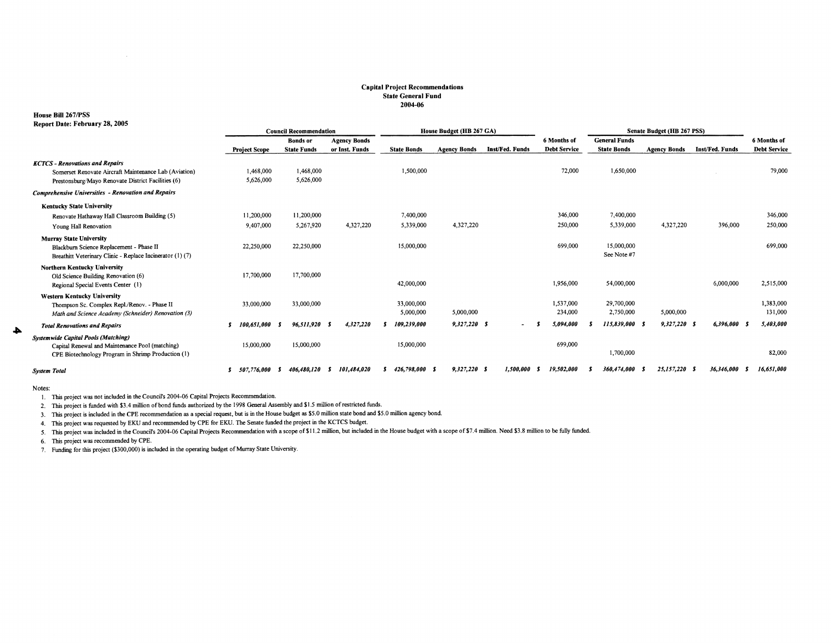#### **Capital Project Recommendations State General Fund**  2004-06

#### House **Bill** 267 /PSS

| Report Date: February 28, 2005                                                                              |                                                                                         |  |                                       |     |                                       |                         |                     |                |                          |                                    |                                            |                     |                 |                                    |
|-------------------------------------------------------------------------------------------------------------|-----------------------------------------------------------------------------------------|--|---------------------------------------|-----|---------------------------------------|-------------------------|---------------------|----------------|--------------------------|------------------------------------|--------------------------------------------|---------------------|-----------------|------------------------------------|
|                                                                                                             | House Budget (HB 267 GA)<br>Senate Budget (HB 267 PSS)<br><b>Council Recommendation</b> |  |                                       |     |                                       |                         |                     |                |                          |                                    |                                            |                     |                 |                                    |
|                                                                                                             | <b>Project Scope</b>                                                                    |  | <b>Bonds</b> or<br><b>State Funds</b> |     | <b>Agency Bonds</b><br>or Inst. Funds | <b>State Bonds</b>      | <b>Agency Bonds</b> |                | Inst/Fed. Funds          | 6 Months of<br><b>Debt Service</b> | <b>General Funds</b><br><b>State Bonds</b> | <b>Agency Bonds</b> | Inst/Fed. Funds | 6 Months of<br><b>Debt Service</b> |
|                                                                                                             |                                                                                         |  |                                       |     |                                       |                         |                     |                |                          |                                    |                                            |                     |                 |                                    |
| <b>KCTCS - Renovations and Repairs</b>                                                                      |                                                                                         |  |                                       |     |                                       |                         |                     |                |                          | 72,000                             | 1,650,000                                  |                     |                 | 79,000                             |
| Somerset Renovate Aircraft Maintenance Lab (Aviation)<br>Prestonsburg/Mayo Renovate District Facilities (6) | 1,468,000<br>5,626,000                                                                  |  | 1,468,000<br>5,626,000                |     |                                       | 1,500,000               |                     |                |                          |                                    |                                            |                     |                 |                                    |
|                                                                                                             |                                                                                         |  |                                       |     |                                       |                         |                     |                |                          |                                    |                                            |                     |                 |                                    |
| <b>Comprehensive Universities - Renovation and Repairs</b>                                                  |                                                                                         |  |                                       |     |                                       |                         |                     |                |                          |                                    |                                            |                     |                 |                                    |
| <b>Kentucky State University</b>                                                                            |                                                                                         |  |                                       |     |                                       |                         |                     |                |                          |                                    |                                            |                     |                 |                                    |
| Renovate Hathaway Hall Classroom Building (5)                                                               | 11,200,000                                                                              |  | 11,200,000                            |     |                                       | 7,400,000               |                     |                |                          | 346,000                            | 7,400,000                                  |                     |                 | 346,000                            |
| Young Hall Renovation                                                                                       | 9,407,000                                                                               |  | 5,267,920                             |     | 4,327,220                             | 5,339,000               |                     | 4,327,220      |                          | 250,000                            | 5,339,000                                  | 4,327,220           | 396,000         | 250,000                            |
| <b>Murray State University</b>                                                                              |                                                                                         |  |                                       |     |                                       |                         |                     |                |                          |                                    |                                            |                     |                 |                                    |
| Blackburn Science Replacement - Phase II                                                                    | 22,250,000                                                                              |  | 22,250,000                            |     |                                       | 15,000,000              |                     |                |                          | 699,000                            | 15,000,000                                 |                     |                 | 699,000                            |
| Breathitt Veterinary Clinic - Replace Incinerator (1) (7)                                                   |                                                                                         |  |                                       |     |                                       |                         |                     |                |                          |                                    | See Note #7                                |                     |                 |                                    |
| Northern Kentucky University                                                                                |                                                                                         |  |                                       |     |                                       |                         |                     |                |                          |                                    |                                            |                     |                 |                                    |
| Old Science Building Renovation (6)                                                                         | 17,700,000                                                                              |  | 17,700,000                            |     |                                       |                         |                     |                |                          |                                    |                                            |                     |                 |                                    |
| Regional Special Events Center (1)                                                                          |                                                                                         |  |                                       |     |                                       | 42,000,000              |                     |                |                          | 1,956,000                          | 54,000,000                                 |                     | 6,000,000       | 2,515,000                          |
| <b>Western Kentucky University</b>                                                                          |                                                                                         |  |                                       |     |                                       |                         |                     |                |                          | 1,537,000                          | 29,700,000                                 |                     |                 |                                    |
| Thompson Sc. Complex Repl./Renov. - Phase II<br>Math and Science Academy (Schneider) Renovation (3)         | 33,000,000                                                                              |  | 33,000,000                            |     |                                       | 33,000,000<br>5,000,000 |                     | 5,000,000      |                          | 234,000                            | 2,750,000                                  | 5,000,000           |                 | 1,383,000<br>131,000               |
|                                                                                                             |                                                                                         |  |                                       |     |                                       |                         |                     |                |                          |                                    |                                            |                     |                 |                                    |
| <b>Total Renovations and Repairs</b>                                                                        | 100.651.000                                                                             |  | 96,511,920                            | - 5 | 4,327,220                             | 109,239,000             |                     | $9,327,220$ \$ | $\overline{\phantom{a}}$ | 5,094,000                          | 115,839,000                                | 9,327,220           | 6,396,000       | 5,403,000                          |
| <b>Systemwide Capital Pools (Matching)</b>                                                                  |                                                                                         |  |                                       |     |                                       |                         |                     |                |                          | 699,000                            |                                            |                     |                 |                                    |
| Capital Renewal and Maintenance Pool (matching)<br>CPE Biotechnology Program in Shrimp Production (1)       | 15,000,000                                                                              |  | 15,000,000                            |     |                                       | 15,000,000              |                     |                |                          |                                    | 1,700,000                                  |                     |                 | 82,000                             |
|                                                                                                             |                                                                                         |  |                                       |     |                                       |                         |                     |                |                          |                                    |                                            |                     |                 |                                    |
| <b>System Total</b>                                                                                         | 507.776.000                                                                             |  | 406,480,120                           | s   | 101,484,020                           | 426,798,000 S           |                     | $9,327,220$ S  | 1.500.000                | 19,502,000                         | 360,474,000                                | 25,157,220          | 36,346,000      | 16,651,000                         |

Notes:

 $\blacktriangle$ 

1. This project was not included in the Council's 2004-06 Capital Projects Recommendation.

2. This project is funded with \$3.4 million of bond funds authorized by the 1998 General Assembly and \$1.5 million of restricted funds.

3. This project is included in the CPE recommendation as a special request, but is in the House budget *as* \$5.0 million state bond and \$5.0 million agency bond.

4. This project was requested by EKU and recommended by CPE for EKU. The Senate funded the project in the KCTCS budget.

5. This project was included in the Council's 2004-06 Capital Projects Recommendation with a scope of\$1 l.2 million, but included in the House budget with a scope of\$7.4 million. Need \$3.8 million to be fully funded.

6. This project was recommended by CPE.

Funding for this project (\$300,000) is included in the operating budget of Murray State University.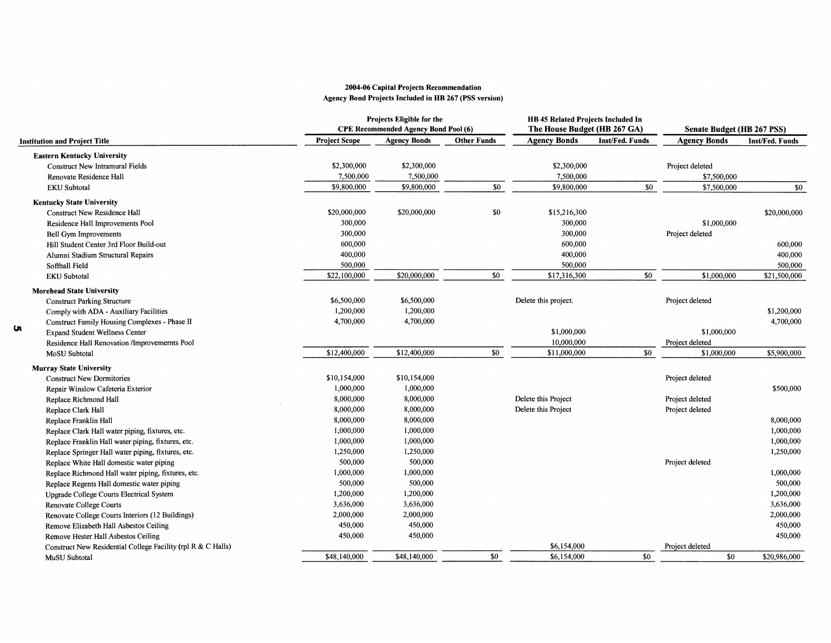#### 2004-06 Capital Projects Recommendation Agency Bond Projects Included in HB 267 (PSS version)

|                                                              |                      | Projects Eligible for the<br><b>CPE Recommended Agency Bond Pool (6)</b> |                    | HB 45 Related Projects Included In<br>The House Budget (HB 267 GA) |                 | Senate Budget (HB 267 PSS) |                        |  |  |
|--------------------------------------------------------------|----------------------|--------------------------------------------------------------------------|--------------------|--------------------------------------------------------------------|-----------------|----------------------------|------------------------|--|--|
| <b>Institution and Project Title</b>                         | <b>Project Scope</b> | <b>Agency Bonds</b>                                                      | <b>Other Funds</b> | <b>Agency Bonds</b>                                                | Inst/Fed. Funds | <b>Agency Bonds</b>        | <b>Inst/Fed. Funds</b> |  |  |
| <b>Eastern Kentucky University</b>                           |                      |                                                                          |                    |                                                                    |                 |                            |                        |  |  |
| <b>Construct New Intramural Fields</b>                       | \$2,300,000          | \$2,300,000                                                              |                    | \$2,300,000                                                        |                 | Project deleted            |                        |  |  |
| Renovate Residence Hall                                      | 7,500,000            | 7,500,000                                                                |                    | 7,500,000                                                          |                 | \$7,500,000                |                        |  |  |
| <b>EKU</b> Subtotal                                          | \$9,800,000          | \$9,800,000                                                              | \$0                | \$9,800,000                                                        | \$0             | \$7,500,000                | \$0                    |  |  |
| <b>Kentucky State University</b>                             |                      |                                                                          |                    |                                                                    |                 |                            |                        |  |  |
| <b>Construct New Residence Hall</b>                          | \$20,000,000         | \$20,000,000                                                             | \$0                | \$15,216,300                                                       |                 |                            | \$20,000,000           |  |  |
| Residence Hall Improvements Pool                             | 300,000              |                                                                          |                    | 300,000                                                            |                 | \$1,000,000                |                        |  |  |
| Bell Gym Improvements                                        | 300,000              |                                                                          |                    | 300,000                                                            |                 | Project deleted            |                        |  |  |
| Hill Student Center 3rd Floor Build-out                      | 600,000              |                                                                          |                    | 600,000                                                            |                 |                            | 600,000                |  |  |
| Alumni Stadium Structural Repairs                            | 400,000              |                                                                          |                    | 400,000                                                            |                 |                            | 400,000                |  |  |
| Softball Field                                               | 500,000              |                                                                          |                    | 500,000                                                            |                 |                            | 500,000                |  |  |
| <b>EKU Subtotal</b>                                          | \$22,100,000         | \$20,000,000                                                             | \$0                | \$17,316,300                                                       | \$0             | \$1,000,000                | \$21,500,000           |  |  |
| <b>Morehead State University</b>                             |                      |                                                                          |                    |                                                                    |                 |                            |                        |  |  |
| <b>Construct Parking Structure</b>                           | \$6,500,000          | \$6,500,000                                                              |                    | Delete this project.                                               |                 | Project deleted            |                        |  |  |
| Comply with ADA - Auxiliary Facilities                       | 1,200,000            | 1,200,000                                                                |                    |                                                                    |                 |                            | \$1,200,000            |  |  |
| Construct Family Housing Complexes - Phase II                | 4,700,000            | 4,700,000                                                                |                    |                                                                    |                 |                            | 4,700,000              |  |  |
| u<br><b>Expand Student Wellness Center</b>                   |                      |                                                                          |                    | \$1,000,000                                                        |                 | \$1,000,000                |                        |  |  |
| Residence Hall Renovation /Improvemernts Pool                |                      |                                                                          |                    | 10,000,000                                                         |                 | Project deleted            |                        |  |  |
| MoSU Subtotal                                                | \$12,400,000         | \$12,400,000                                                             | \$0                | \$11,000,000                                                       | \$0             | \$1,000,000                | \$5,900,000            |  |  |
| <b>Murray State University</b>                               |                      |                                                                          |                    |                                                                    |                 |                            |                        |  |  |
| <b>Construct New Dormitories</b>                             | \$10,154,000         | \$10,154,000                                                             |                    |                                                                    |                 | Project deleted            |                        |  |  |
| Repair Winslow Cafeteria Exterior                            | 1,000,000            | 1,000,000                                                                |                    |                                                                    |                 |                            | \$500,000              |  |  |
| Replace Richmond Hall                                        | 8,000,000            | 8,000,000                                                                |                    | Delete this Project                                                |                 | Project deleted            |                        |  |  |
| Replace Clark Hall                                           | 8,000,000            | 8,000,000                                                                |                    | Delete this Project                                                |                 | Project deleted            |                        |  |  |
| Replace Franklin Hall                                        | 8,000,000            | 8,000,000                                                                |                    |                                                                    |                 |                            | 8,000,000              |  |  |
| Replace Clark Hall water piping, fixtures, etc.              | 1,000,000            | 1,000,000                                                                |                    |                                                                    |                 |                            | 1,000,000              |  |  |
| Replace Franklin Hall water piping, fixtures, etc.           | 1,000,000            | 1,000,000                                                                |                    |                                                                    |                 |                            | 1,000,000              |  |  |
| Replace Springer Hall water piping, fixtures, etc.           | 1,250,000            | 1,250,000                                                                |                    |                                                                    |                 |                            | 1,250,000              |  |  |
| Replace White Hall domestic water piping                     | 500,000              | 500,000                                                                  |                    |                                                                    |                 | Project deleted            |                        |  |  |
| Replace Richmond Hall water piping, fixtures, etc.           | 1,000,000            | 1,000,000                                                                |                    |                                                                    |                 |                            | 1,000,000              |  |  |
| Replace Regents Hall domestic water piping                   | 500,000              | 500,000                                                                  |                    |                                                                    |                 |                            | 500,000                |  |  |
| Upgrade College Courts Electrical System                     | 1,200,000            | 1,200,000                                                                |                    |                                                                    |                 |                            | 1,200,000              |  |  |
| Renovate College Courts                                      | 3,636,000            | 3,636,000                                                                |                    |                                                                    |                 |                            | 3,636,000              |  |  |
| Renovate College Courts Interiors (12 Buildings)             | 2,000,000            | 2,000,000                                                                |                    |                                                                    |                 |                            | 2,000,000              |  |  |
| Remove Elizabeth Hall Asbestos Ceiling                       | 450,000              | 450,000                                                                  |                    |                                                                    |                 |                            | 450,000                |  |  |
| Remove Hester Hall Asbestos Ceiling                          | 450,000              | 450,000                                                                  |                    |                                                                    |                 |                            | 450,000                |  |  |
| Construct New Residential College Facility (rpl R & C Halls) |                      |                                                                          |                    | \$6,154,000                                                        |                 | Project deleted            |                        |  |  |
| MuSU Subtotal                                                | \$48,140,000         | \$48,140,000                                                             | \$0                | \$6,154,000                                                        | \$0             | \$0                        | \$20,986,000           |  |  |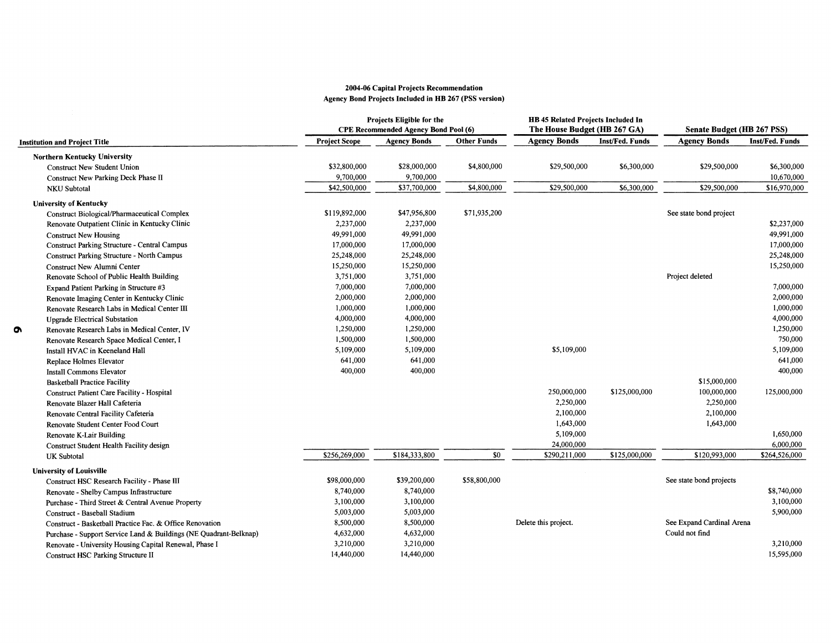#### 2004-06 Capital Projects Recommendation Agency Bond Projects Included in HB 267 (PSS version)

|                                                                   |                      | Projects Eligible for the<br><b>CPE Recommended Agency Bond Pool (6)</b> |                    | HB 45 Related Projects Included In<br>The House Budget (HB 267 GA) |                 | Senate Budget (HB 267 PSS) |                 |
|-------------------------------------------------------------------|----------------------|--------------------------------------------------------------------------|--------------------|--------------------------------------------------------------------|-----------------|----------------------------|-----------------|
| Institution and Project Title                                     | <b>Project Scope</b> | <b>Agency Bonds</b>                                                      | <b>Other Funds</b> | <b>Agency Bonds</b>                                                | Inst/Fed. Funds | <b>Agency Bonds</b>        | Inst/Fed. Funds |
| <b>Northern Kentucky University</b>                               |                      |                                                                          |                    |                                                                    |                 |                            |                 |
| <b>Construct New Student Union</b>                                | \$32,800,000         | \$28,000,000                                                             | \$4,800,000        | \$29,500,000                                                       | \$6,300,000     | \$29,500,000               | \$6,300,000     |
| Construct New Parking Deck Phase II                               | 9,700,000            | 9,700,000                                                                |                    |                                                                    |                 |                            | 10,670,000      |
| <b>NKU</b> Subtotal                                               | \$42,500,000         | \$37,700,000                                                             | \$4,800,000        | \$29,500,000                                                       | \$6,300,000     | \$29,500,000               | \$16,970,000    |
| <b>University of Kentucky</b>                                     |                      |                                                                          |                    |                                                                    |                 |                            |                 |
| Construct Biological/Pharmaceutical Complex                       | \$119,892,000        | \$47,956,800                                                             | \$71,935,200       |                                                                    |                 | See state bond project     |                 |
| Renovate Outpatient Clinic in Kentucky Clinic                     | 2,237,000            | 2,237,000                                                                |                    |                                                                    |                 |                            | \$2,237,000     |
| <b>Construct New Housing</b>                                      | 49,991,000           | 49,991,000                                                               |                    |                                                                    |                 |                            | 49,991,000      |
| <b>Construct Parking Structure - Central Campus</b>               | 17,000,000           | 17,000,000                                                               |                    |                                                                    |                 |                            | 17,000,000      |
| <b>Construct Parking Structure - North Campus</b>                 | 25,248,000           | 25,248,000                                                               |                    |                                                                    |                 |                            | 25,248,000      |
| Construct New Alumni Center                                       | 15,250,000           | 15,250,000                                                               |                    |                                                                    |                 |                            | 15,250,000      |
| Renovate School of Public Health Building                         | 3,751,000            | 3,751,000                                                                |                    |                                                                    |                 | Project deleted            |                 |
| Expand Patient Parking in Structure #3                            | 7,000,000            | 7,000,000                                                                |                    |                                                                    |                 |                            | 7,000,000       |
| Renovate Imaging Center in Kentucky Clinic                        | 2,000,000            | 2,000,000                                                                |                    |                                                                    |                 |                            | 2,000,000       |
| Renovate Research Labs in Medical Center III                      | 1,000,000            | 1,000,000                                                                |                    |                                                                    |                 |                            | 1,000,000       |
| <b>Upgrade Electrical Substation</b>                              | 4,000,000            | 4,000,000                                                                |                    |                                                                    |                 |                            | 4,000,000       |
| Renovate Research Labs in Medical Center, IV                      | 1,250,000            | 1,250,000                                                                |                    |                                                                    |                 |                            | 1,250,000       |
| Renovate Research Space Medical Center, I                         | 1,500,000            | 1,500,000                                                                |                    |                                                                    |                 |                            | 750,000         |
| Install HVAC in Keeneland Hall                                    | 5,109,000            | 5,109,000                                                                |                    | \$5,109,000                                                        |                 |                            | 5,109,000       |
| Replace Holmes Elevator                                           | 641,000              | 641,000                                                                  |                    |                                                                    |                 |                            | 641,000         |
| Install Commons Elevator                                          | 400,000              | 400,000                                                                  |                    |                                                                    |                 |                            | 400,000         |
| <b>Basketball Practice Facility</b>                               |                      |                                                                          |                    |                                                                    |                 | \$15,000,000               |                 |
| Construct Patient Care Facility - Hospital                        |                      |                                                                          |                    | 250,000,000                                                        | \$125,000,000   | 100,000,000                | 125,000,000     |
| Renovate Blazer Hall Cafeteria                                    |                      |                                                                          |                    | 2,250,000                                                          |                 | 2,250,000                  |                 |
| Renovate Central Facility Cafeteria                               |                      |                                                                          |                    | 2,100,000                                                          |                 | 2,100,000                  |                 |
| Renovate Student Center Food Court                                |                      |                                                                          |                    | 1,643,000                                                          |                 | 1,643,000                  |                 |
| Renovate K-Lair Building                                          |                      |                                                                          |                    | 5,109,000                                                          |                 |                            | 1,650,000       |
| Construct Student Health Facility design                          |                      |                                                                          |                    | 24,000,000                                                         |                 |                            | 6,000,000       |
| <b>UK</b> Subtotal                                                | \$256,269,000        | \$184,333,800                                                            | \$0                | \$290,211,000                                                      | \$125,000,000   | \$120,993,000              | \$264,526,000   |
| <b>University of Louisville</b>                                   |                      |                                                                          |                    |                                                                    |                 |                            |                 |
| Construct HSC Research Facility - Phase III                       | \$98,000,000         | \$39,200,000                                                             | \$58,800,000       |                                                                    |                 | See state bond projects    |                 |
| Renovate - Shelby Campus Infrastructure                           | 8,740,000            | 8,740,000                                                                |                    |                                                                    |                 |                            | \$8,740,000     |
| Purchase - Third Street & Central Avenue Property                 | 3,100,000            | 3,100,000                                                                |                    |                                                                    |                 |                            | 3,100,000       |
| Construct - Baseball Stadium                                      | 5,003,000            | 5,003,000                                                                |                    |                                                                    |                 |                            | 5,900,000       |
| Construct - Basketball Practice Fac. & Office Renovation          | 8,500,000            | 8,500,000                                                                |                    | Delete this project.                                               |                 | See Expand Cardinal Arena  |                 |
| Purchase - Support Service Land & Buildings (NE Quadrant-Belknap) | 4,632,000            | 4,632,000                                                                |                    |                                                                    |                 | Could not find             |                 |
| Renovate - University Housing Capital Renewal, Phase I            | 3,210,000            | 3,210,000                                                                |                    |                                                                    |                 |                            | 3,210,000       |
| Construct HSC Parking Structure II                                | 14,440,000           | 14,440,000                                                               |                    |                                                                    |                 |                            | 15,595,000      |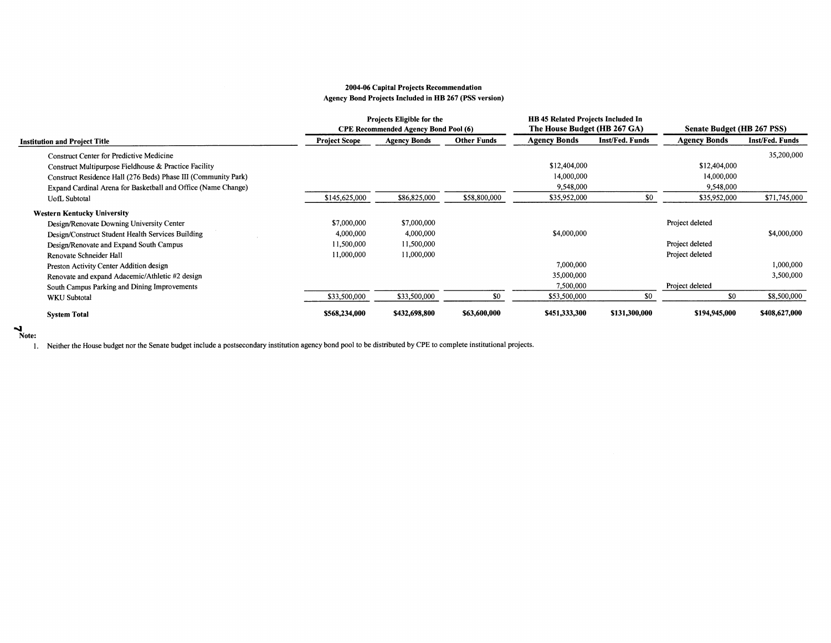#### **2004-06 Capital Projects Recommendation**  Agency Bond Projects Included in RB 267 (PSS version)

|                                                                |                      | Projects Eligible for the<br><b>CPE Recommended Agency Bond Pool (6)</b> |                    | <b>HB</b> 45 Related Projects Included In<br>The House Budget (HB 267 GA) |                 | Senate Budget (HB 267 PSS) |                 |
|----------------------------------------------------------------|----------------------|--------------------------------------------------------------------------|--------------------|---------------------------------------------------------------------------|-----------------|----------------------------|-----------------|
| <b>Institution and Project Title</b>                           | <b>Project Scope</b> | <b>Agency Bonds</b>                                                      | <b>Other Funds</b> | <b>Agency Bonds</b>                                                       | Inst/Fed. Funds | <b>Agency Bonds</b>        | Inst/Fed. Funds |
| <b>Construct Center for Predictive Medicine</b>                |                      |                                                                          |                    |                                                                           |                 |                            | 35,200,000      |
| Construct Multipurpose Fieldhouse & Practice Facility          |                      |                                                                          |                    | \$12,404,000                                                              |                 | \$12,404,000               |                 |
| Construct Residence Hall (276 Beds) Phase III (Community Park) |                      |                                                                          |                    | 14,000,000                                                                |                 | 14,000,000                 |                 |
| Expand Cardinal Arena for Basketball and Office (Name Change)  |                      |                                                                          |                    | 9,548,000                                                                 |                 | 9,548,000                  |                 |
| <b>UofL</b> Subtotal                                           | \$145,625,000        | \$86,825,000                                                             | \$58,800,000       | \$35,952,000                                                              | \$0             | \$35,952,000               | \$71,745,000    |
| <b>Western Kentucky University</b>                             |                      |                                                                          |                    |                                                                           |                 |                            |                 |
| Design/Renovate Downing University Center                      | \$7,000,000          | \$7,000,000                                                              |                    |                                                                           |                 | Project deleted            |                 |
| Design/Construct Student Health Services Building              | 4,000,000            | 4,000,000                                                                |                    | \$4,000,000                                                               |                 |                            | \$4,000,000     |
| Design/Renovate and Expand South Campus                        | 11,500,000           | 11,500,000                                                               |                    |                                                                           |                 | Project deleted            |                 |
| Renovate Schneider Hall                                        | 11,000,000           | 11,000,000                                                               |                    |                                                                           |                 | Project deleted            |                 |
| Preston Activity Center Addition design                        |                      |                                                                          |                    | 7,000,000                                                                 |                 |                            | 1,000,000       |
| Renovate and expand Adacemic/Athletic #2 design                |                      |                                                                          |                    | 35,000,000                                                                |                 |                            | 3,500,000       |
| South Campus Parking and Dining Improvements                   |                      |                                                                          |                    | 7,500,000                                                                 |                 | Project deleted            |                 |
| <b>WKU</b> Subtotal                                            | \$33,500,000         | \$33,500,000                                                             | \$0                | \$53,500,000                                                              | \$0             | \$0                        | \$8,500,000     |
| <b>System Total</b>                                            | \$568,234,000        | \$432,698,800                                                            | \$63,600,000       | \$451,333,300                                                             | \$131,300,000   | \$194,945,000              | \$408,627,000   |

#### ...... **Note:**

1. Neither the House budget nor the Senate budget include a postsecondary institution agency bond pool to be distributed by CPE to complete institutional projects.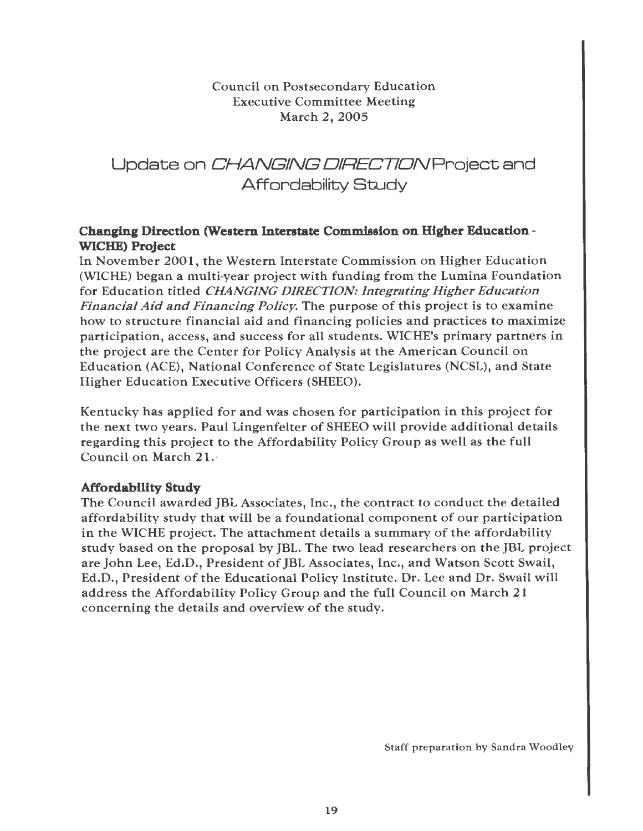Council on Postsecondary Education Executive Committee Meeting March 2, 2005

Update on CHANGING DIRECTION Project and Affordability Study

#### **Changing Direction (Western Interstate Commission on Higher Education** - **WICHE) Project**

In November 2001, the Western Interstate Commission on Higher Education (WICHE) began a multi-year project with funding from the Lumina Foundation for Education titled *CHANGING DIRECTION: Integrating Higher Education Financial Aid and Financing Policy.* The purpose of this project is to examine how to structure financial aid and financing policies and practices to maximize participation, access, and success for all students. WICHE's primary partners in the project are the Center for Policy Analysis at the American Council on Education (ACE), National Conference of State Legislatures (NCSL), and State Higher Education Executive Officers (SHEEO).

Kentucky has applied for and was chosen for participation in this project for the next two years. Paul Lingenfelter of SHEEO will provide additional details regarding this project to the Affordability Policy Group as well as the full Council on March 21. ·

#### **Affordability Study**

The Council awarded JBL Associates, Inc., the contract to conduct the detailed affordability study that will be a foundational component of our participation in the WICHE project. The attachment details a summary of the affordability study based on the proposal by JBL. The two lead researchers on the JBL project are John Lee, Ed.D., President of JBL Associates, Inc., and Watson Scott Swail, Ed.D., President of the Educational Policy Institute. Dr. Lee and Dr. Swail will address the Affordability Policy Group and the full Council on March 21 concerning the details and overview of the study.

Staff preparation by Sandra Woodley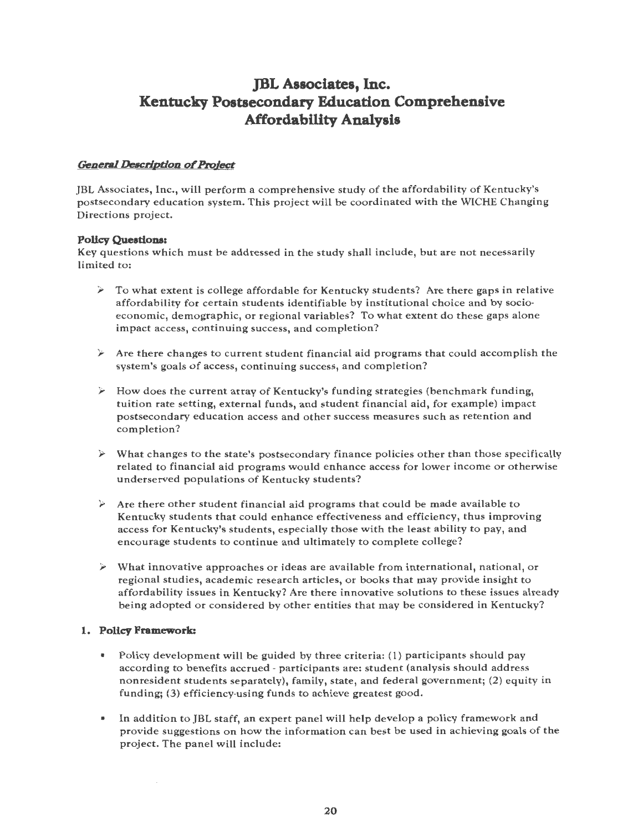# **JBL Associates, Inc. Kentucky Postsecondary Education Comprehensive Affordability Analysis**

#### **General Description of Project**

JBL Associates, Inc., will perform a comprehensive study of the affordability of Kentucky's postsecondary education system. This project will be coordinated with the WICHE Changing Directions project.

#### **Polley Queationa:**

Key questions which must be addressed in the study shall include, but are not necessarily limited to:

- $\geq$  To what extent is college affordable for Kentucky students? Are there gaps in relative affordability for certain students identifiable by institutional choice and by socioeconomic, demographic, or regional variables? To what extent do these gaps alone impact access, continuing success, and completion?
- $\triangleright$  Are there changes to current student financial aid programs that could accomplish the system's goals of access, continuing success, and completion?
- $\geq$  How does the current array of Kentucky's funding strategies (benchmark funding, tuition rate setting, external funds, and student financial aid, for example) impact postsecondary education access and other success measures such as retention and completion?
- $\triangleright$  What changes to the state's postsecondary finance policies other than those specifically related to financial aid programs would enhance access for lower income or otherwise underserved populations of Kentucky students?
- $\geq$  Are there other student financial aid programs that could be made available to Kentucky students that could enhance effectiveness and efficiency, thus improving access for Kentucky's students, especially those with the least ability to pay, and encourage students to continue and ultimately to complete college?
- $\triangleright$  What innovative approaches or ideas are available from international, national, or regional studies, academic research articles, or books that may provide insight to affordability issues in Kentucky? Are there innovative solutions to these issues already being adopted or considered by other entities that may be considered in Kentucky?

#### **1. Polley Framework:**

- Policy development will be guided by three criteria: (1) participants should pay according to benefits accrued - participants are: student (analysis should address nonresident students separately), family, state, and federal government; (2) equity in funding; (3) efficiency-using funds to achieve greatest good.
- In addition to JBL staff, an expert panel will help develop a policy framework and provide suggestions on how the information can best be used in achieving goals of the project. The panel will include: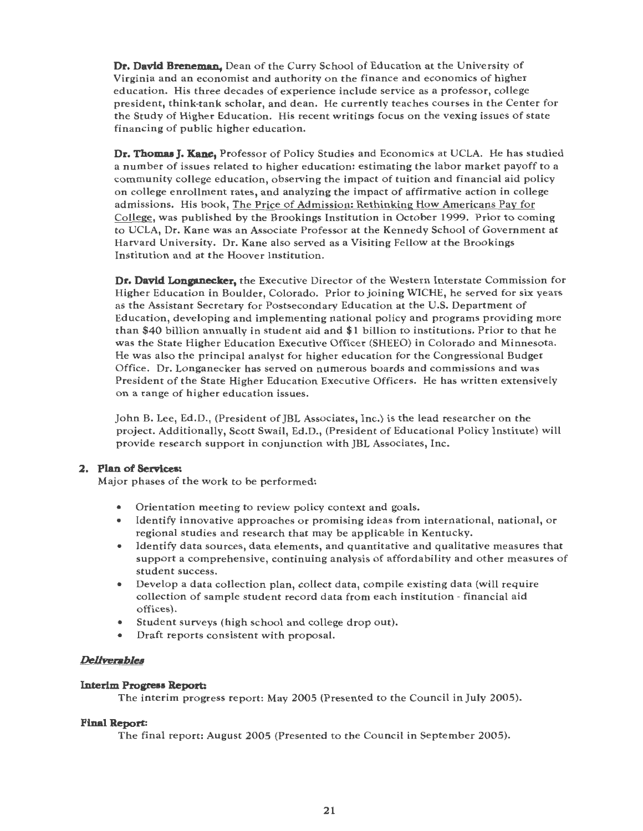**Dr. David Breneman,** Dean of the Curry School of Education at the University of Virginia and an economist and authority on the finance and economics of higher education. His three decades of experience include service as a professor, college president, think-tank scholar, and dean. He currently teaches courses in the Center for the Study of Higher Education. His recent writings focus on the vexing issues of state financing of public higher education.

**Dr. Thomas J. Kane,** Professor of Policy Studies and Economics at UCLA. He has studied a number of issues related to higher education: estimating the labor market payoff to a community college education, observing the impact of tuition and financial aid policy on college enrollment rates, and analyzing the impact of affirmative action in college admissions. His book, The Price of Admission: Rethinking How Americans Pay for College, was published by the Brookings Institution in October 1999. Prior to coming to UCLA, Dr. Kane was an Associate Professor at the Kennedy School of Government at Harvard University. Dr. Kane also served as a Visiting Fellow at the Brookings Institution and at the Hoover institution.

**Dr. David Longanecker,** the Executive Director of the Western Interstate Commission for Higher Education in Boulder, Colorado. Prior to joining WICHE, he served for six years as the Assistant Secretary for Postsecondary Education at the U.S. Department of Education, developing and implementing national policy and programs providing more than \$40 billion annually in student aid and \$1 billion to institutions. Prior to that he was the State Higher Education Executive Officer (SHEEO) in Colorado and Minnesota. He was also the principal analyst for higher education for the Congressional Budget Office. Dr. Longanecker has served on numerous boards and commissions and was President of the State Higher Education Executive Officers. He has written extensively on a range of higher education issues.

John B. Lee, Ed.D., (President of JBL Associates, Inc.) is the lead researcher on the project. Additionally, Scott Swail, Ed.D., (President of Educational Policy Institute) will provide research support in conjunction with JBL Associates, Inc.

#### **2. Plan of Services:**

Major phases of the work to be performed:

- Orientation meeting to review policy context and goals.
- Identify innovative approaches or promising ideas from international, national, or regional studies and research that may be applicable in Kentucky.
- Identify data sources, data elements, and quantitative and qualitative measures that support a comprehensive, continuing analysis of affordability and other measures of student success.
- Develop a data collection plan, collect data, compile existing data (will require collection of sample student record data from each institution - financial aid offices).
- Student surveys (high school and college drop out).
- Draft reports consistent with proposal.

#### *Dellvenblea*

#### **Interim Progress Report:**

The interim progress report: May 2005 (Presented to the Council in July 2005).

#### **Final Report:**

The final report: August 2005 (Presented to the Council in September 2005).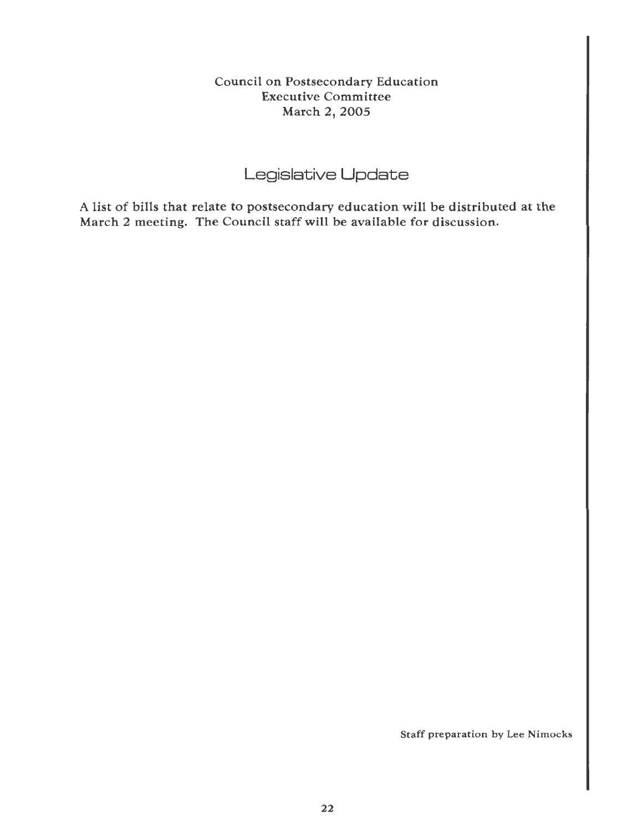Council on Postsecondary Education Executive Committee March 2, 2005

# Legislative **Update**

A list of bills that relate to postsecondary education will be distributed at the March 2 meeting. The Council staff will be available for discussion.

Staff preparation by Lee Nimocks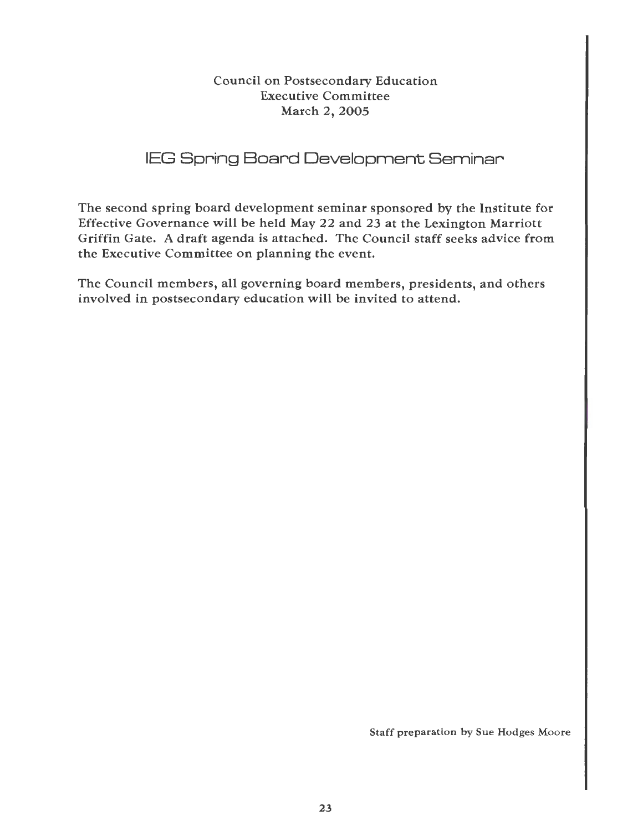Council on Postsecondary Education Executive Committee March 2, 2005

# IEG Spring Board Development Seminar

The second spring board development seminar sponsored by the Institute for Effective Governance will be held May 22 and 23 at the Lexington Marriott Griffin Gate. A draft agenda is attached. The Council staff seeks advice from the Executive Committee on planning the event.

The Council members, all governing board members, presidents, and others involved in postsecondary education will be invited to attend.

Staff preparation by Sue Hodges Moore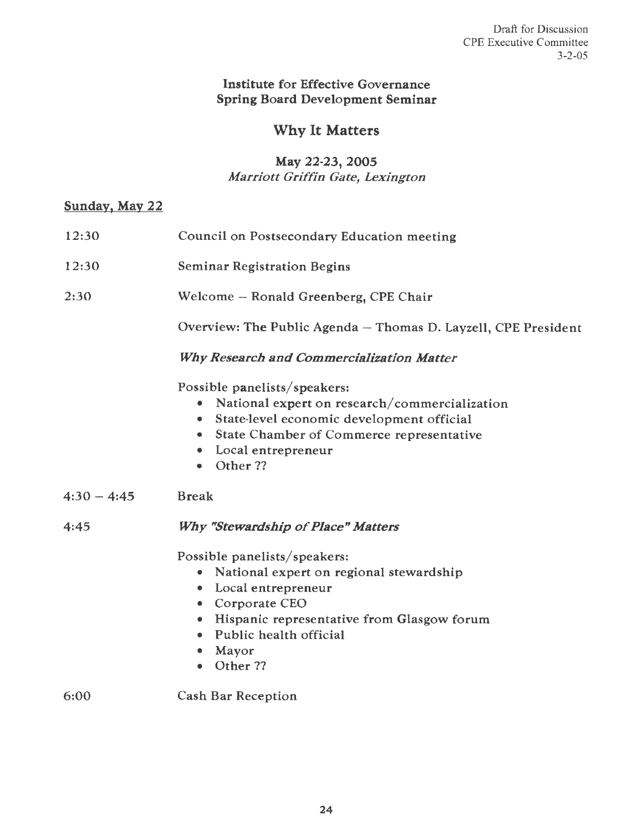### **Institute** for Effective Governance **Spring** Board Development **Seminar**

# Why It **Matters**

### May 22-23, 2005 Marriott Griffin Gate, Lexington

# Sunday, May 22

| 12:30         | Council on Postsecondary Education meeting                     |  |  |  |  |  |  |  |
|---------------|----------------------------------------------------------------|--|--|--|--|--|--|--|
| 12:30         | <b>Seminar Registration Begins</b>                             |  |  |  |  |  |  |  |
| 2:30          | Welcome - Ronald Greenberg, CPE Chair                          |  |  |  |  |  |  |  |
|               | Overview: The Public Agenda - Thomas D. Layzell, CPE President |  |  |  |  |  |  |  |
|               | <b>Why Research and Commercialization Matter</b>               |  |  |  |  |  |  |  |
|               | Possible panelists/speakers:                                   |  |  |  |  |  |  |  |
|               | National expert on research/commercialization<br>۰             |  |  |  |  |  |  |  |
|               | State-level economic development official<br>۰                 |  |  |  |  |  |  |  |
|               | <b>State Chamber of Commerce representative</b><br>$\bullet$   |  |  |  |  |  |  |  |
|               | Local entrepreneur<br>۰                                        |  |  |  |  |  |  |  |
|               | Other ??<br>$\bullet$                                          |  |  |  |  |  |  |  |
| $4:30 - 4:45$ | <b>Break</b>                                                   |  |  |  |  |  |  |  |
| 4:45          | <b>Why "Stewardship of Place" Matters</b>                      |  |  |  |  |  |  |  |
|               | Possible panelists/speakers:                                   |  |  |  |  |  |  |  |
|               | National expert on regional stewardship<br>۰                   |  |  |  |  |  |  |  |
|               | • Local entrepreneur                                           |  |  |  |  |  |  |  |
|               | • Corporate CEO                                                |  |  |  |  |  |  |  |
|               | • Hispanic representative from Glasgow forum                   |  |  |  |  |  |  |  |
|               | Public health official<br>$\bullet$                            |  |  |  |  |  |  |  |
|               | Mayor<br>٠                                                     |  |  |  |  |  |  |  |
|               | • Other ??                                                     |  |  |  |  |  |  |  |
| 6:00          | <b>Cash Bar Reception</b>                                      |  |  |  |  |  |  |  |